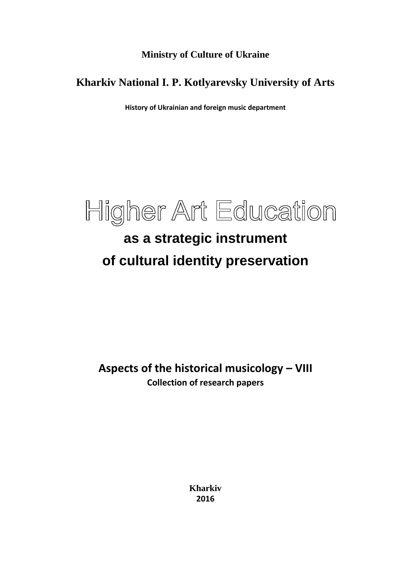**Ministry of Culture of Ukraine**

### **Kharkiv National I. P. Kotlyarevsky University of Arts**

**History of Ukrainian and foreign music department**



# **as a strategic instrument of cultural identity preservation**

**Aspects of the historical musicology – VIII Collection of research papers**

> **Kharkiv 2016**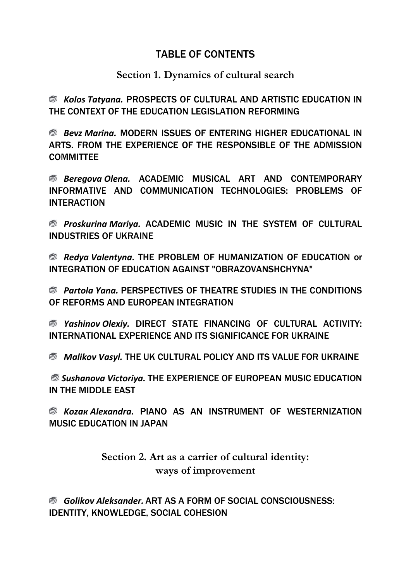### TABLE OF CONTENTS

### **Section 1. Dynamics of cultural search**

 *Kolos Tatyana.* PROSPECTS OF CULTURAL AND ARTISTIC EDUCATION IN THE CONTEXT OF THE EDUCATION LEGISLATION REFORMING

 *Bevz Marina.* MODERN ISSUES OF ENTERING HIGHER EDUCATIONAL IN ARTS. FROM THE EXPERIENCE OF THE RESPONSIBLE OF THE ADMISSION **COMMITTEE** 

 *Beregova Оlena.* ACADEMIC MUSICAL ART AND CONTEMPORARY INFORMATIVE AND COMMUNICATION TECHNOLOGIES: PROBLEMS OF **INTERACTION** 

 *Proskurina Mariya.* ACADEMIC MUSIC IN THE SYSTEM OF CULTURAL INDUSTRIES OF UKRAINE

 *Redya Valentyna.* THE PROBLEM OF HUMANIZATION OF EDUCATION or INTEGRATION OF EDUCATION AGAINST "OBRAZOVANSHСHYNA"

 *Partola Yana.* PERSPECTIVES OF THEATRE STUDIES IN THE CONDITIONS OF REFORMS AND EUROPEAN INTEGRATION

 *Yashinov Оlexiy.* DIRECT STATE FINANCING OF CULTURAL ACTIVITY: INTERNATIONAL EXPERIENCE AND ITS SIGNIFICANCE FOR UKRAINE

 *Malikov Vasyl.* THE UK CULTURAL POLICY AND ITS VALUE FOR UKRAINE

*Sushanova Victoriya.* THE EXPERIENCE OF EUROPEAN MUSIC EDUCATION IN THE MIDDLE EAST

 *Kozaк Alexandra.* PIANO AS AN INSTRUMENT OF WESTERNIZATION MUSIC EDUCATION IN JAPAN

> **Section 2. Art as a carrier of cultural identity: ways of improvement**

 *Golikov Aleksander.* ART AS A FORM OF SOCIAL CONSCIOUSNESS: IDENTITY, KNOWLEDGE, SOCIAL COHESION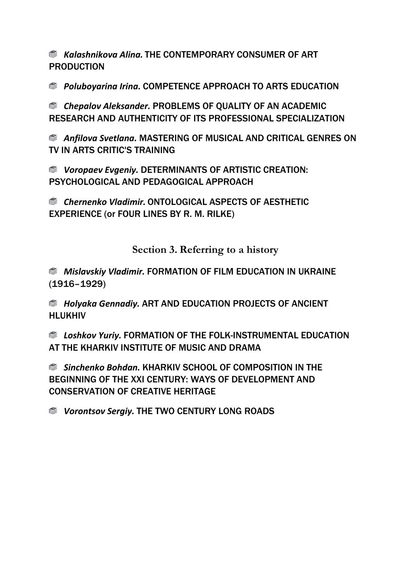*Kalashnikova Alina.* THE CONTEMPORARY CONSUMER OF ART PRODUCTION

 *Poluboyarina Irina.* COMPETENCE APPROACH TO ARTS EDUCATION

 *Chepalov Aleksander.* PROBLEMS OF QUALITY OF AN ACADEMIC RESEARCH AND AUTHENTICITY OF ITS PROFESSIONAL SPECIALIZATION

 *Anfilova Svetlana.* MASTERING OF MUSICAL AND CRITICAL GENRES ON TV IN ARTS CRITIC'S TRAINING

 *Voropaev Evgeniy.* DETERMINANTS OF ARTISTIC CREATION: PSYCHOLOGICAL AND PEDAGOGICAL APPROACH

 *Chernenko Vladimir.* ONTOLOGICAL ASPECTS OF AESTHETIC EXPERIENCE (or FOUR LINES BY R. M. RILKE)

**Section 3. Referring to a history**

 *Mislavskiy Vladimir.* FORMATION OF FILM EDUCATION IN UKRAINE (1916–1929)

 *Holyaka Gеnnadiy.* ART AND EDUCATION PROJECTS OF ANCIENT HLUKHIV

 *Loshkov Yuriy.* FORMATION OF THE FOLK-INSTRUMENTAL EDUCATION AT THE KHARKIV INSTITUTE OF MUSIC AND DRAMA

 *Sinchenko Bohdan.* KHARKIV SCHOOL OF COMPOSITION IN THE BEGINNING OF THE XXI CENTURY: WAYS OF DEVELOPMENT AND CONSERVATION OF CREATIVE HERITAGE

 *Vorontsov Sergiy.* THE TWO CENTURY LONG ROADS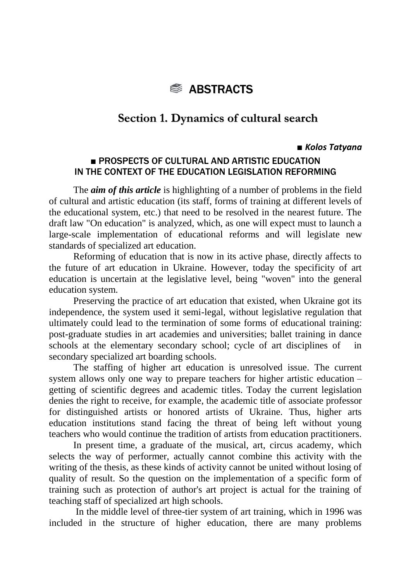

### **Section 1. Dynamics of cultural search**

#### ■ *Kolos Tatyana*

#### ■ PROSPECTS OF CULTURAL AND ARTISTIC EDUCATION IN THE CONTEXT OF THE EDUCATION LEGISLATION REFORMING

The *aim of this article* is highlighting of a number of problems in the field of cultural and artistic education (its staff, forms of training at different levels of the educational system, etc.) that need to be resolved in the nearest future. The draft law "On education" is analyzed, which, as one will expect must to launch a large-scale implementation of educational reforms and will legislate new standards of specialized art education.

Reforming of education that is now in its active phase, directly affects to the future of art education in Ukraine. However, today the specificity of art education is uncertain at the legislative level, being "woven" into the general education system.

Preserving the practice of art education that existed, when Ukraine got its independence, the system used it semi-legal, without legislative regulation that ultimately could lead to the termination of some forms of educational training: post-graduate studies in art academies and universities; ballet training in dance schools at the elementary secondary school; cycle of art disciplines of in secondary specialized art boarding schools.

The staffing of higher art education is unresolved issue. The current system allows only one way to prepare teachers for higher artistic education – getting of scientific degrees and academic titles. Today the current legislation denies the right to receive, for example, the academic title of associate professor for distinguished artists or honored artists of Ukraine. Thus, higher arts education institutions stand facing the threat of being left without young teachers who would continue the tradition of artists from education practitioners.

In present time, a graduate of the musical, art, circus academy, which selects the way of performer, actually cannot combine this activity with the writing of the thesis, as these kinds of activity cannot be united without losing of quality of result. So the question on the implementation of a specific form of training such as protection of author's art project is actual for the training of teaching staff of specialized art high schools.

In the middle level of three-tier system of art training, which in 1996 was included in the structure of higher education, there are many problems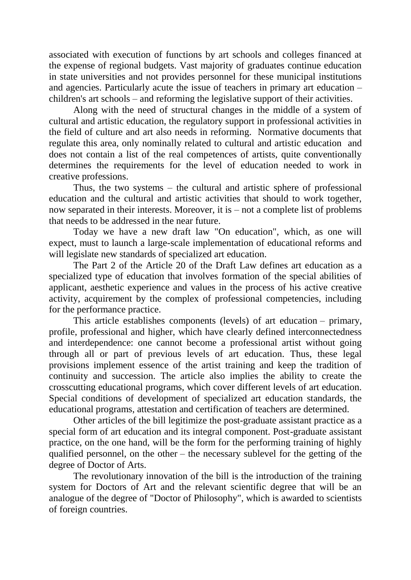associated with execution of functions by art schools and colleges financed at the expense of regional budgets. Vast majority of graduates continue education in state universities and not provides personnel for these municipal institutions and agencies. Particularly acute the issue of teachers in primary art education – children's art schools – and reforming the legislative support of their activities.

Along with the need of structural changes in the middle of a system of cultural and artistic education, the regulatory support in professional activities in the field of culture and art also needs in reforming. Normative documents that regulate this area, only nominally related to cultural and artistic education and does not contain a list of the real competences of artists, quite conventionally determines the requirements for the level of education needed to work in creative professions.

Thus, the two systems – the cultural and artistic sphere of professional education and the cultural and artistic activities that should to work together, now separated in their interests. Moreover, it is – not a complete list of problems that needs to be addressed in the near future.

Today we have a new draft law "On education", which, as one will expect, must to launch a large-scale implementation of educational reforms and will legislate new standards of specialized art education.

The Part 2 of the Article 20 of the Draft Law defines art education as a specialized type of education that involves formation of the special abilities of applicant, aesthetic experience and values in the process of his active creative activity, acquirement by the complex of professional competencies, including for the performance practice.

This article establishes components (levels) of art education – primary, profile, professional and higher, which have clearly defined interconnectedness and interdependence: one cannot become a professional artist without going through all or part of previous levels of art education. Thus, these legal provisions implement essence of the artist training and keep the tradition of continuity and succession. The article also implies the ability to create the crosscutting educational programs, which cover different levels of art education. Special conditions of development of specialized art education standards, the educational programs, attestation and certification of teachers are determined.

Other articles of the bill legitimize the post-graduate assistant practice as a special form of art education and its integral component. Post-graduate assistant practice, on the one hand, will be the form for the performing training of highly qualified personnel, on the other – the necessary sublevel for the getting of the degree of Doctor of Arts.

The revolutionary innovation of the bill is the introduction of the training system for Doctors of Art and the relevant scientific degree that will be an analogue of the degree of "Doctor of Philosophy", which is awarded to scientists of foreign countries.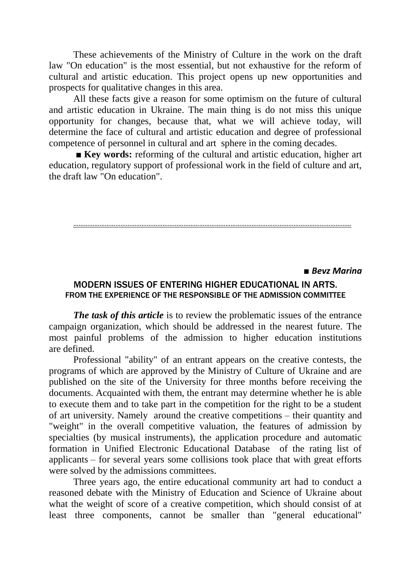These achievements of the Ministry of Culture in the work on the draft law "On education" is the most essential, but not exhaustive for the reform of cultural and artistic education. This project opens up new opportunities and prospects for qualitative changes in this area.

All these facts give a reason for some optimism on the future of cultural and artistic education in Ukraine. The main thing is do not miss this unique opportunity for changes, because that, what we will achieve today, will determine the face of cultural and artistic education and degree of professional competence of personnel in cultural and art sphere in the coming decades.

■ **Key words:** reforming of the cultural and artistic education, higher art education, regulatory support of professional work in the field of culture and art, the draft law "On education".

#### ……………………………………………………………………………………………………………………………………………

#### **■** *Bevz Marina*

#### MODERN ISSUES OF ENTERING HIGHER EDUCATIONAL IN ARTS. FROM THE EXPERIENCE OF THE RESPONSIBLE OF THE ADMISSION COMMITTEE

*The task of this article* is to review the problematic issues of the entrance campaign organization, which should be addressed in the nearest future. The most painful problems of the admission to higher education institutions are defined.

Professional "ability" of an entrant appears on the creative contests, the programs of which are approved by the Ministry of Culture of Ukraine and are published on the site of the University for three months before receiving the documents. Acquainted with them, the entrant may determine whether he is able to execute them and to take part in the competition for the right to be a student of art university. Namely around the creative competitions – their quantity and "weight" in the overall competitive valuation, the features of admission by specialties (by musical instruments), the application procedure and automatic formation in Unified Electronic Educational Database of the rating list of applicants – for several years some collisions took place that with great efforts were solved by the admissions committees.

Three years ago, the entire educational community art had to conduct a reasoned debate with the Ministry of Education and Science of Ukraine about what the weight of score of a creative competition, which should consist of at least three components, cannot be smaller than "general educational"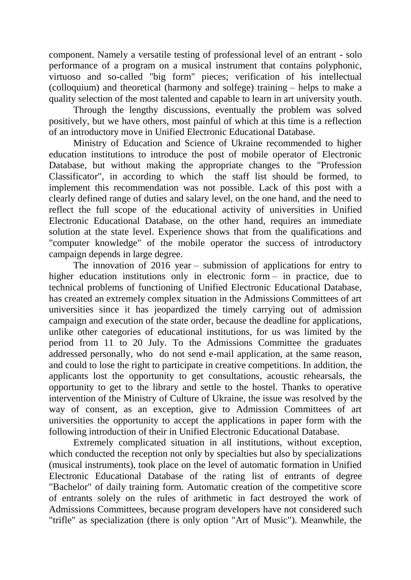component. Namely a versatile testing of professional level of an entrant - solo performance of a program on a musical instrument that contains polyphonic, virtuoso and so-called "big form" pieces; verification of his intellectual (colloquium) and theoretical (harmony and solfege) training – helps to make a quality selection of the most talented and capable to learn in art university youth.

Through the lengthy discussions, eventually the problem was solved positively, but we have others, most painful of which at this time is a reflection of an introductory move in Unified Electronic Educational Database.

Ministry of Education and Science of Ukraine recommended to higher education institutions to introduce the post of mobile operator of Electronic Database, but without making the appropriate changes to the "Profession Classificator", in according to which the staff list should be formed, to implement this recommendation was not possible. Lack of this post with a clearly defined range of duties and salary level, on the one hand, and the need to reflect the full scope of the educational activity of universities in Unified Electronic Educational Database, on the other hand, requires an immediate solution at the state level. Experience shows that from the qualifications and "computer knowledge" of the mobile operator the success of introductory campaign depends in large degree.

The innovation of 2016 year – submission of applications for entry to higher education institutions only in electronic form – in practice, due to technical problems of functioning of Unified Electronic Educational Database, has created an extremely complex situation in the Admissions Committees of art universities since it has jeopardized the timely carrying out of admission campaign and execution of the state order, because the deadline for applications, unlike other categories of educational institutions, for us was limited by the period from 11 to 20 July. To the Admissions Committee the graduates addressed personally, who do not send e-mail application, at the same reason, and could to lose the right to participate in creative competitions. In addition, the applicants lost the opportunity to get consultations, acoustic rehearsals, the opportunity to get to the library and settle to the hostel. Thanks to operative intervention of the Ministry of Culture of Ukraine, the issue was resolved by the way of consent, as an exception, give to Admission Committees of art universities the opportunity to accept the applications in paper form with the following introduction of their in Unified Electronic Educational Database.

Extremely complicated situation in all institutions, without exception, which conducted the reception not only by specialties but also by specializations (musical instruments), took place on the level of automatic formation in Unified Electronic Educational Database of the rating list of entrants of degree "Bachelor" of daily training form. Automatic creation of the competitive score of entrants solely on the rules of arithmetic in fact destroyed the work of Admissions Committees, because program developers have not considered such "trifle" as specialization (there is only option "Art of Music"). Meanwhile, the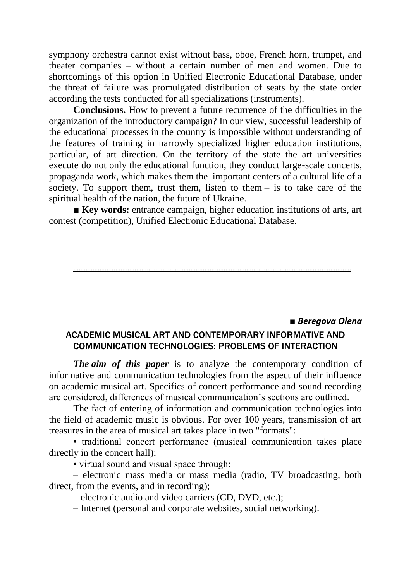symphony orchestra cannot exist without bass, oboe, French horn, trumpet, and theater companies – without a certain number of men and women. Due to shortcomings of this option in Unified Electronic Educational Database, under the threat of failure was promulgated distribution of seats by the state order according the tests conducted for all specializations (instruments).

**Conclusions.** How to prevent a future recurrence of the difficulties in the organization of the introductory campaign? In our view, successful leadership of the educational processes in the country is impossible without understanding of the features of training in narrowly specialized higher education institutions, particular, of art direction. On the territory of the state the art universities execute do not only the educational function, they conduct large-scale concerts, propaganda work, which makes them the important centers of a cultural life of a society. To support them, trust them, listen to them – is to take care of the spiritual health of the nation, the future of Ukraine.

■ **Key words:** entrance campaign, higher education institutions of arts, art contest (competition), Unified Electronic Educational Database.

……………………………………………………………………………………………………………………………………………

### ■ *Beregova Оlena* ACADEMIC MUSICAL ART AND CONTEMPORARY INFORMATIVE AND COMMUNICATION TECHNOLOGIES: PROBLEMS OF INTERACTION

*The aim of this paper* is to analyze the contemporary condition of informative and communication technologies from the aspect of their influence on academic musical art. Specifics of concert performance and sound recording are considered, differences of musical communication's sections are outlined.

The fact of entering of information and communication technologies into the field of academic music is obvious. For over 100 years, transmission of art treasures in the area of musical art takes place in two "formats":

• traditional concert performance (musical communication takes place directly in the concert hall);

• virtual sound and visual space through:

– electronic mass media or mass media (radio, TV broadcasting, both direct, from the events, and in recording);

– electronic audio and video carriers (CD, DVD, etc.);

– Internet (personal and corporate websites, social networking).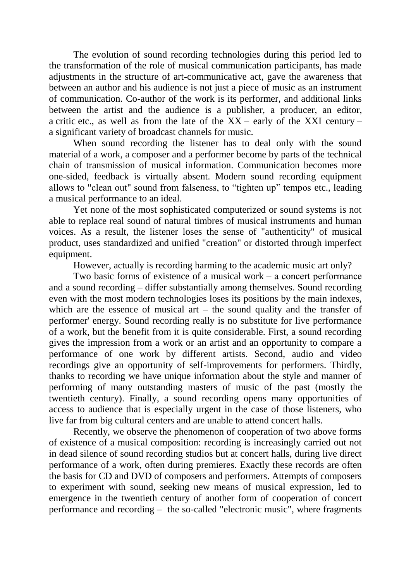The evolution of sound recording technologies during this period led to the transformation of the role of musical communication participants, has made adjustments in the structure of art-communicative act, gave the awareness that between an author and his audience is not just a piece of music as an instrument of communication. Co-author of the work is its performer, and additional links between the artist and the audience is a publisher, a producer, an editor, a critic etc., as well as from the late of the  $XX$  – early of the XXI century – a significant variety of broadcast channels for music.

When sound recording the listener has to deal only with the sound material of a work, a composer and a performer become by parts of the technical chain of transmission of musical information. Communication becomes more one-sided, feedback is virtually absent. Modern sound recording equipment allows to "clean out" sound from falseness, to "tighten up" tempos etc., leading a musical performance to an ideal.

Yet none of the most sophisticated computerized or sound systems is not able to replace real sound of natural timbres of musical instruments and human voices. As a result, the listener loses the sense of "authenticity" of musical product, uses standardized and unified "creation" or distorted through imperfect equipment.

However, actually is recording harming to the academic music art only?

Two basic forms of existence of a musical work – а concert performance and a sound recording – differ substantially among themselves. Sound recording even with the most modern technologies loses its positions by the main indexes, which are the essence of musical art – the sound quality and the transfer of performer' energy. Sound recording really is no substitute for live performance of a work, but the benefit from it is quite considerable. First, a sound recording gives the impression from a work or an artist and an opportunity to compare a performance of one work by different artists. Second, audio and video recordings give an opportunity of self-improvements for performers. Thirdly, thanks to recording we have unique information about the style and manner of performing of many outstanding masters of music of the past (mostly the twentieth century). Finally, a sound recording opens many opportunities of access to audience that is especially urgent in the case of those listeners, who live far from big cultural centers and are unable to attend concert halls.

Recently, we observe the phenomenon of cooperation of two above forms of existence of a musical composition: recording is increasingly carried out not in dead silence of sound recording studios but at concert halls, during live direct performance of a work, often during premieres. Exactly these records are often the basis for CD and DVD of composers and performers. Attempts of composers to experiment with sound, seeking new means of musical expression, led to emergence in the twentieth century of another form of cooperation of concert performance and recording – the so-called "electronic music", where fragments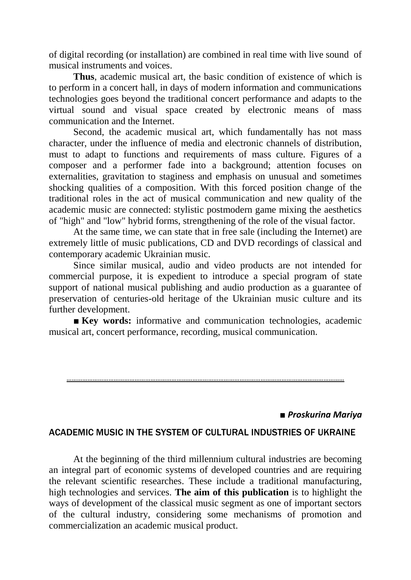of digital recording (or installation) are combined in real time with live sound of musical instruments and voices.

**Thus**, academic musical art, the basic condition of existence of which is to perform in a concert hall, in days of modern information and communications technologies goes beyond the traditional concert performance and adapts to the virtual sound and visual space created by electronic means of mass communication and the Internet.

Second, the academic musical art, which fundamentally has not mass character, under the influence of media and electronic channels of distribution, must to adapt to functions and requirements of mass culture. Figures of a composer and a performer fade into a background; attention focuses on externalities, gravitation to staginess and emphasis on unusual and sometimes shocking qualities of a composition. With this forced position change of the traditional roles in the act of musical communication and new quality of the academic music are connected: stylistic postmodern game mixing the aesthetics of "high" and "low" hybrid forms, strengthening of the role of the visual factor.

At the same time, we can state that in free sale (including the Internet) are extremely little of music publications, CD and DVD recordings of classical and contemporary academic Ukrainian music.

Since similar musical, audio and video products are not intended for commercial purpose, it is expedient to introduce a special program of state support of national musical publishing and audio production as a guarantee of preservation of centuries-old heritage of the Ukrainian music culture and its further development.

■ **Key words:** informative and communication technologies, academic musical art, concert performance, recording, musical communication.

……………………………………………………………………………………………………………………………………………

#### *■ Proskurina Mariya*

#### ACADEMIC MUSIC IN THE SYSTEM OF CULTURAL INDUSTRIES OF UKRAINE

At the beginning of the third millennium cultural industries are becoming an integral part of economic systems of developed countries and are requiring the relevant scientific researches. These include a traditional manufacturing, high technologies and services. **The aim of this publication** is to highlight the ways of development of the classical music segment as one of important sectors of the cultural industry, considering some mechanisms of promotion and commercialization an academic musical product.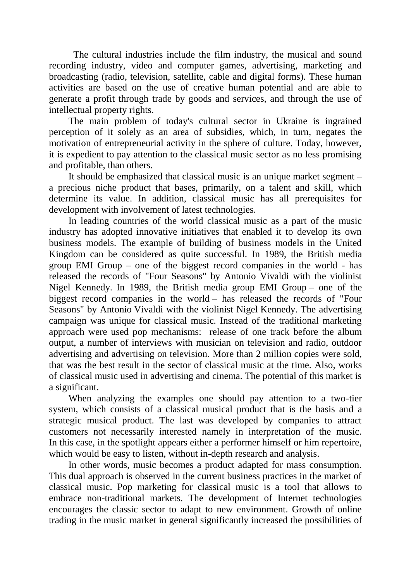The cultural industries include the film industry, the musical and sound recording industry, video and computer games, advertising, marketing and broadcasting (radio, television, satellite, cable and digital forms). These human activities are based on the use of creative human potential and are able to generate a profit through trade by goods and services, and through the use of intellectual property rights.

The main problem of today's cultural sector in Ukraine is ingrained perception of it solely as an area of subsidies, which, in turn, negates the motivation of entrepreneurial activity in the sphere of culture. Today, however, it is expedient to pay attention to the classical music sector as no less promising and profitable, than others.

It should be emphasized that classical music is an unique market segment – a precious niche product that bases, primarily, on a talent and skill, which determine its value. In addition, classical music has all prerequisites for development with involvement of latest technologies.

In leading countries of the world classical music as a part of the music industry has adopted innovative initiatives that enabled it to develop its own business models. The example of building of business models in the United Kingdom can be considered as quite successful. In 1989, the British media group EMI Group – one of the biggest record companies in the world - has released the records of "Four Seasons" by Antonio Vivaldi with the violinist Nigel Kennedy. In 1989, the British media group EMI Group – one of the biggest record companies in the world – has released the records of "Four Seasons" by Antonio Vivaldi with the violinist Nigel Kennedy. The advertising campaign was unique for classical music. Instead of the traditional marketing approach were used pop mechanisms: release of one track before the album output, a number of interviews with musician on television and radio, outdoor advertising and advertising on television. More than 2 million copies were sold, that was the best result in the sector of classical music at the time. Also, works of classical music used in advertising and cinema. The potential of this market is a significant.

When analyzing the examples one should pay attention to a two-tier system, which consists of a classical musical product that is the basis and a strategic musical product. The last was developed by companies to attract customers not necessarily interested namely in interpretation of the music. In this case, in the spotlight appears either a performer himself or him repertoire, which would be easy to listen, without in-depth research and analysis.

In other words, music becomes a product adapted for mass consumption. This dual approach is observed in the current business practices in the market of classical music. Pop marketing for classical music is a tool that allows to embrace non-traditional markets. The development of Internet technologies encourages the classic sector to adapt to new environment. Growth of online trading in the music market in general significantly increased the possibilities of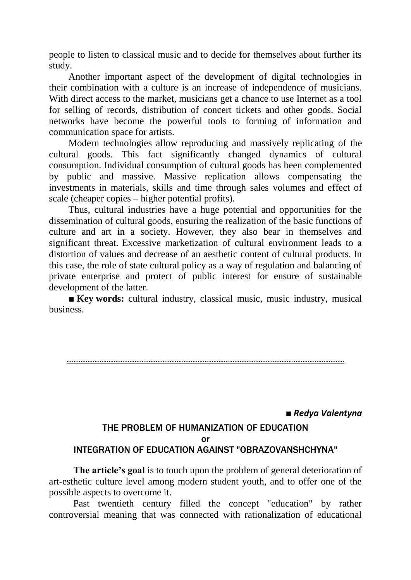people to listen to classical music and to decide for themselves about further its study.

Another important aspect of the development of digital technologies in their combination with a culture is an increase of independence of musicians. With direct access to the market, musicians get a chance to use Internet as a tool for selling of records, distribution of concert tickets and other goods. Social networks have become the powerful tools to forming of information and communication space for artists.

Modern technologies allow reproducing and massively replicating of the cultural goods. This fact significantly changed dynamics of cultural consumption. Individual consumption of cultural goods has been complemented by public and massive. Massive replication allows compensating the investments in materials, skills and time through sales volumes and effect of scale (cheaper copies – higher potential profits).

Thus, cultural industries have a huge potential and opportunities for the dissemination of cultural goods, ensuring the realization of the basic functions of culture and art in a society. However, they also bear in themselves and significant threat. Excessive marketization of cultural environment leads to a distortion of values and decrease of an aesthetic content of cultural products. In this case, the role of state cultural policy as a way of regulation and balancing of private enterprise and protect of public interest for ensure of sustainable development of the latter.

■ **Key words:** cultural industry, classical music, music industry, musical business.

……………………………………………………………………………………………………………………………………………

*■ Redya Valentyna*

#### THE PROBLEM OF HUMANIZATION OF EDUCATION or INTEGRATION OF EDUCATION AGAINST "OBRAZOVANSHCHYNА"

**The article's goal** is to touch upon the problem of general deterioration of art-esthetic culture level among modern student youth, and to offer one of the possible aspects to overcome it.

Past twentieth century filled the concept "education" by rather controversial meaning that was connected with rationalization of educational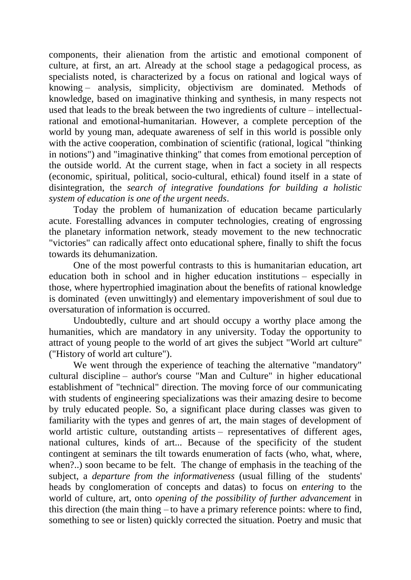components, their alienation from the artistic and emotional component of culture, at first, an art. Already at the school stage a pedagogical process, as specialists noted, is characterized by a focus on rational and logical ways of knowing – analysis, simplicity, objectivism are dominated. Methods of knowledge, based on imaginative thinking and synthesis, in many respects not used that leads to the break between the two ingredients of culture – intellectualrational and emotional-humanitarian. However, a complete perception of the world by young man, adequate awareness of self in this world is possible only with the active cooperation, combination of scientific (rational, logical "thinking in notions") and "imaginative thinking" that comes from emotional perception of the outside world. At the current stage, when in fact a society in all respects (economic, spiritual, political, socio-cultural, ethical) found itself in a state of disintegration, the *search of integrative foundations for building a holistic system of education is one of the urgent needs*.

Today the problem of humanization of education became particularly acute. Forestalling advances in computer technologies, creating of engrossing the planetary information network, steady movement to the new technocratic "victories" can radically affect onto educational sphere, finally to shift the focus towards its dehumanization.

One of the most powerful contrasts to this is humanitarian education, art education both in school and in higher education institutions – especially in those, where hypertrophied imagination about the benefits of rational knowledge is dominated (even unwittingly) and elementary impoverishment of soul due to oversaturation of information is occurred.

Undoubtedly, culture and art should occupy a worthy place among the humanities, which are mandatory in any university. Today the opportunity to attract of young people to the world of art gives the subject "World art culture" ("History of world art culture").

We went through the experience of teaching the alternative "mandatory" cultural discipline – author's course "Man and Culture" in higher educational establishment of "technical" direction. The moving force of our communicating with students of engineering specializations was their amazing desire to become by truly educated people. So, a significant place during classes was given to familiarity with the types and genres of art, the main stages of development of world artistic culture, outstanding artists – representatives of different ages, national cultures, kinds of art... Because of the specificity of the student contingent at seminars the tilt towards enumeration of facts (who, what, where, when?..) soon became to be felt. The change of emphasis in the teaching of the subject, a *departure from the informativeness* (usual filling of the students' heads by conglomeration of concepts and datas) to focus on *entering* to the world of culture, art, onto *opening of the possibility of further advancement* in this direction (the main thing – to have a primary reference points: where to find, something to see or listen) quickly corrected the situation. Poetry and music that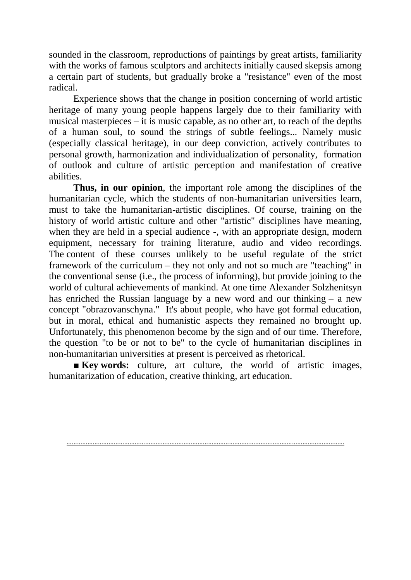sounded in the classroom, reproductions of paintings by great artists, familiarity with the works of famous sculptors and architects initially caused skepsis among a certain part of students, but gradually broke a "resistance" even of the most radical.

Experience shows that the change in position concerning of world artistic heritage of many young people happens largely due to their familiarity with musical masterpieces – it is music capable, as no other art, to reach of the depths of a human soul, to sound the strings of subtle feelings... Namely music (especially classical heritage), in our deep conviction, actively contributes to personal growth, harmonization and individualization of personality, formation of outlook and culture of artistic perception and manifestation of creative abilities.

**Thus, in our opinion**, the important role among the disciplines of the humanitarian cycle, which the students of non-humanitarian universities learn, must to take the humanitarian-artistic disciplines. Of course, training on the history of world artistic culture and other "artistic" disciplines have meaning, when they are held in a special audience -, with an appropriate design, modern equipment, necessary for training literature, audio and video recordings. The content of these courses unlikely to be useful regulate of the strict framework of the curriculum – they not only and not so much are "teaching" in the conventional sense (i.e., the process of informing), but provide joining to the world of cultural achievements of mankind. At one time Alexander Solzhenitsyn has enriched the Russian language by a new word and our thinking – a new concept "obrazovanschyna." It's about people, who have got formal education, but in moral, ethical and humanistic aspects they remained no brought up. Unfortunately, this phenomenon become by the sign and of our time. Therefore, the question "to be or not to be" to the cycle of humanitarian disciplines in non-humanitarian universities at present is perceived as rhetorical.

■ **Key words:** culture, art culture, the world of artistic images, humanitarization of education, creative thinking, art education.

……………………………………………………………………………………………………………………………………………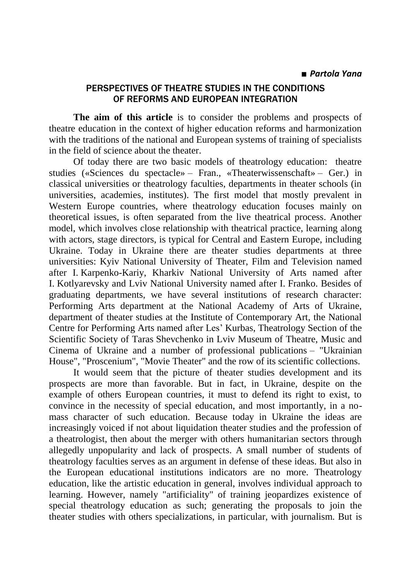### PERSPECTIVES OF THEATRE STUDIES IN THE CONDITIONS OF REFORMS AND EUROPEAN INTEGRATION

**The aim of this article** is to consider the problems and prospects of theatre education in the context of higher education reforms and harmonization with the traditions of the national and European systems of training of specialists in the field of science about the theater.

Of today there are two basic models of theatrology education: theatre studies («Sciences du spectacle» – Fran., «Theaterwissenschaft» – Ger.) in classical universities or theatrology faculties, departments in theater schools (in universities, academies, institutes). The first model that mostly prevalent in Western Europe countries, where theatrology education focuses mainly on theoretical issues, is often separated from the live theatrical process. Another model, which involves close relationship with theatrical practice, learning along with actors, stage directors, is typical for Central and Eastern Europe, including Ukraine. Today in Ukraine there are theater studies departments at three universities: Kyiv National University of Theater, Film and Television named after I. Karpenko-Kariy, Kharkiv National University of Arts named after I. Kotlyarevsky and Lviv National University named after I. Franko. Besides of graduating departments, we have several institutions of research character: Performing Arts department at the National Academy of Arts of Ukraine, department of theater studies at the Institute of Contemporary Art, the National Centre for Performing Arts named after Les' Kurbas, Theatrology Section of the Scientific Society of Taras Shevchenko in Lviv Museum of Theatre, Music and Cinema of Ukraine and a number of professional publications – "Ukrainian House", "Proscenium", "Movie Theater" and the row of its scientific collections.

It would seem that the picture of theater studies development and its prospects are more than favorable. But in fact, in Ukraine, despite on the example of others European countries, it must to defend its right to exist, to convince in the necessity of special education, and most importantly, in a nomass character of such education. Because today in Ukraine the ideas are increasingly voiced if not about liquidation theater studies and the profession of a theatrologist, then about the merger with others humanitarian sectors through allegedly unpopularity and lack of prospects. A small number of students of theatrology faculties serves as an argument in defense of these ideas. But also in the European educational institutions indicators are no more. Theatrology education, like the artistic education in general, involves individual approach to learning. However, namely "artificiality" of training jeopardizes existence of special theatrology education as such; generating the proposals to join the theater studies with others specializations, in particular, with journalism. But іs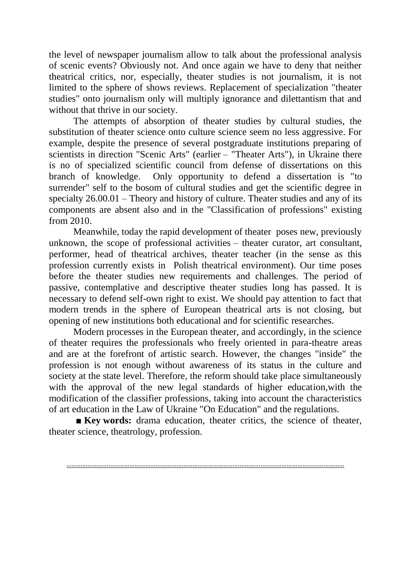the level of newspaper journalism allow to talk about the professional analysis of scenic events? Obviously not. And once again we have to deny that neither theatrical critics, nor, especially, theater studies is not journalism, it is not limited to the sphere of shows reviews. Replacement of specialization "theater studies" onto journalism only will multiply ignorance and dilettantism that and without that thrive in our society.

The attempts of absorption of theater studies by cultural studies, the substitution of theater science onto culture science seem no less aggressive. For example, despite the presence of several postgraduate institutions preparing of scientists in direction "Scenic Arts" (earlier – "Theater Arts"), in Ukraine there is no of specialized scientific council from defense of dissertations on this branch of knowledge. Only opportunity to defend a dissertation is "to surrender" self to the bosom of cultural studies and get the scientific degree in specialty 26.00.01 – Theory and history of culture. Theater studies and any of its components are absent also and in the "Classification of professions" existing from 2010.

Meanwhile, today the rapid development of theater poses new, previously unknown, the scope of professional activities – theater curator, art consultant, performer, head of theatrical archives, theater teacher (in the sense as this profession currently exists in Polish theatrical environment). Our time poses before the theater studies new requirements and challenges. The period of passive, contemplative and descriptive theater studies long has passed. It is necessary to defend self-own right to exist. We should pay attention to fact that modern trends in the sphere of European theatrical arts is not closing, but opening of new institutions both educational and for scientific researches.

Modern processes in the European theater, and accordingly, in the science of theater requires the professionals who freely oriented in para-theatre areas and are at the forefront of artistic search. However, the changes "inside" the profession is not enough without awareness of its status in the culture and society at the state level. Therefore, the reform should take place simultaneously with the approval of the new legal standards of higher education,with the modification of the classifier professions, taking into account the characteristics of art education in the Law of Ukraine "On Education" and the regulations.

■ **Key words:** drama education, theater critics, the science of theater, theater science, theatrology, profession.

……………………………………………………………………………………………………………………………………………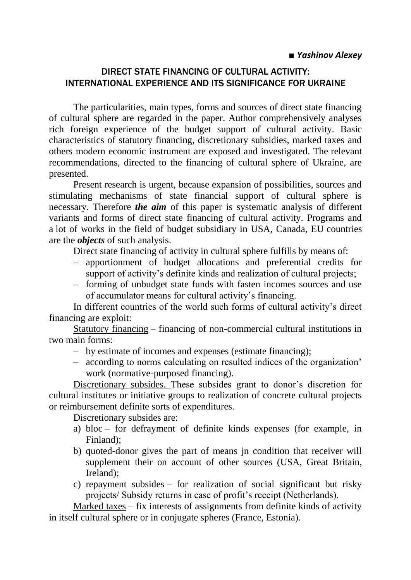### DIRECT STATE FINANCING OF CULTURAL ACTIVITY: INTERNATIONAL EXPERIENCE AND ITS SIGNIFICANCE FOR UKRAINE

The particularities, main types, forms and sources of direct state financing of cultural sphere are regarded in the paper. Author comprehensively analyses rich foreign experience of the budget support of cultural activity. Basic characteristics of statutory financing, discretionary subsidies, marked taxes and others modern economic instrument are exposed and investigated. The relevant recommendations, directed to the financing of cultural sphere of Ukraine, are presented.

Present research is urgent, because expansion of possibilities, sources and stimulating mechanisms of state financial support of cultural sphere is necessary. Therefore *the aim* of this paper is systematic analysis of different variants and forms of direct state financing of cultural activity. Programs and a lot of works in the field of budget subsidiary in USA, Canada, EU countries are the *objects* of such analysis.

Direct state financing of activity in cultural sphere fulfills by means of:

- apportionment of budget allocations and preferential credits for support of activity's definite kinds and realization of cultural projects;
- forming of unbudget state funds with fasten incomes sources and use of accumulator means for cultural activity's financing.

In different countries of the world such forms of cultural activity's direct financing are exploit:

Statutory financing – financing of non-commercial cultural institutions in two main forms:

- by estimate of incomes and expenses (estimate financing);
- according to norms calculating on resulted indices of the organization' work (normative-purposed financing).

Discretionary subsides. These subsides grant to donor's discretion for cultural institutes or initiative groups to realization of concrete cultural projects or reimbursement definite sorts of expenditures.

Discretionary subsides are:

- a) bloc for defrayment of definite kinds expenses (for example, in Finland);
- b) quoted-donor gives the part of means jn condition that receiver will supplement their on account of other sources (USA, Great Britain, Ireland);
- c) repayment subsides for realization of social significant but risky projects/ Subsidy returns in case of profit's receipt (Netherlands).

Marked taxes – fix interests of assignments from definite kinds of activity in itself cultural sphere or in conjugate spheres (France, Estonia).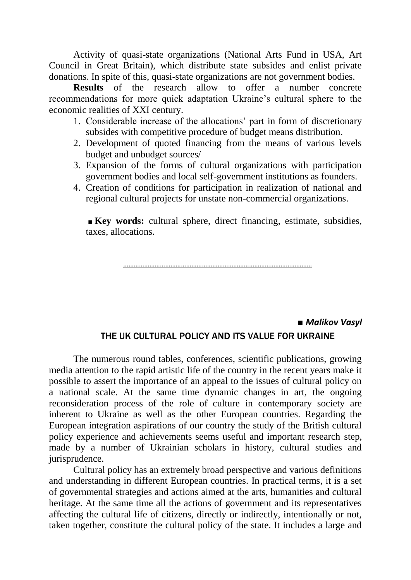Activity of quasi-state organizations (National Arts Fund in USA, Art Council in Great Britain), which distribute state subsides and enlist private donations. In spite of this, quasi-state organizations are not government bodies.

**Results** of the research allow to offer a number concrete recommendations for more quick adaptation Ukraine's cultural sphere to the economic realities of XXI century.

- 1. Considerable increase of the allocations' part in form of discretionary subsides with competitive procedure of budget means distribution.
- 2. Development of quoted financing from the means of various levels budget and unbudget sources/
- 3. Expansion of the forms of cultural organizations with participation government bodies and local self-government institutions as founders.
- 4. Creation of conditions for participation in realization of national and regional cultural projects for unstate non-commercial organizations.

**■ Key words:** cultural sphere, direct financing, estimate, subsidies, taxes, allocations.

………………………………………………………………………………………………

### ■ *Malikov Vasyl* THE UK CULTURAL POLICY AND ITS VALUE FOR UKRAINE

The numerous round tables, conferences, scientific publications, growing media attention to the rapid artistic life of the country in the recent years make it possible to assert the importance of an appeal to the issues of cultural policy on a national scale. At the same time dynamic changes in art, the ongoing reconsideration process of the role of culture in contemporary society are inherent to Ukraine as well as the other European countries. Regarding the European integration aspirations of our country the study of the British cultural policy experience and achievements seems useful and important research step, made by a number of Ukrainian scholars in history, cultural studies and jurisprudence.

Cultural policy has an extremely broad perspective and various definitions and understanding in different European countries. In practical terms, it is a set of governmental strategies and actions aimed at the arts, humanities and cultural heritage. At the same time all the actions of government and its representatives affecting the cultural life of citizens, directly or indirectly, intentionally or not, taken together, constitute the cultural policy of the state. It includes a large and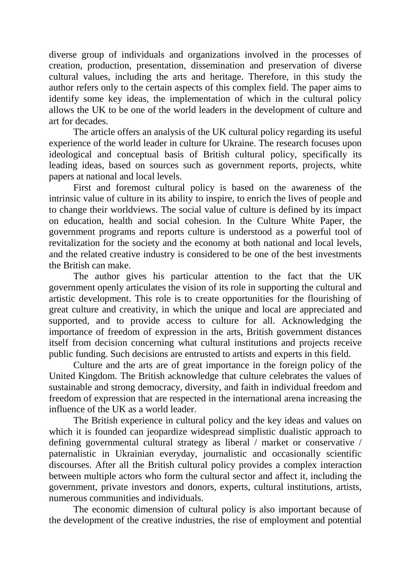diverse group of individuals and organizations involved in the processes of creation, production, presentation, dissemination and preservation of diverse cultural values, including the arts and heritage. Therefore, in this study the author refers only to the certain aspects of this complex field. The paper aims to identify some key ideas, the implementation of which in the cultural policy allows the UK to be one of the world leaders in the development of culture and art for decades.

The article offers an analysis of the UK cultural policy regarding its useful experience of the world leader in culture for Ukraine. The research focuses upon ideological and conceptual basis of British cultural policy, specifically its leading ideas, based on sources such as government reports, projects, white papers at national and local levels.

First and foremost cultural policy is based on the awareness of the intrinsic value of culture in its ability to inspire, to enrich the lives of people and to change their worldviews. The social value of culture is defined by its impact on education, health and social cohesion. In the Culture White Paper, the government programs and reports culture is understood as a powerful tool of revitalization for the society and the economy at both national and local levels, and the related creative industry is considered to be one of the best investments the British can make.

The author gives his particular attention to the fact that the UK government openly articulates the vision of its role in supporting the cultural and artistic development. This role is to create opportunities for the flourishing of great culture and creativity, in which the unique and local are appreciated and supported, and to provide access to culture for all. Acknowledging the importance of freedom of expression in the arts, British government distances itself from decision concerning what cultural institutions and projects receive public funding. Such decisions are entrusted to artists and experts in this field.

Culture and the arts are of great importance in the foreign policy of the United Kingdom. The British acknowledge that culture celebrates the values of sustainable and strong democracy, diversity, and faith in individual freedom and freedom of expression that are respected in the international arena increasing the influence of the UK as a world leader.

The British experience in cultural policy and the key ideas and values on which it is founded can jeopardize widespread simplistic dualistic approach to defining governmental cultural strategy as liberal / market or conservative / paternalistic in Ukrainian everyday, journalistic and occasionally scientific discourses. After all the British cultural policy provides a complex interaction between multiple actors who form the cultural sector and affect it, including the government, private investors and donors, experts, cultural institutions, artists, numerous communities and individuals.

The economic dimension of cultural policy is also important because of the development of the creative industries, the rise of employment and potential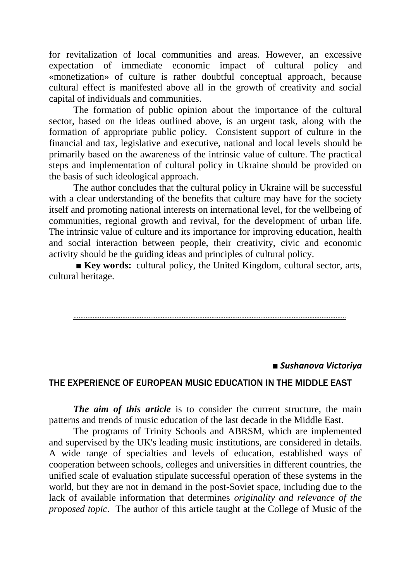for revitalization of local communities and areas. However, an excessive expectation of immediate economic impact of cultural policy and «monetization» of culture is rather doubtful conceptual approach, because cultural effect is manifested above all in the growth of creativity and social capital of individuals and communities.

The formation of public opinion about the importance of the cultural sector, based on the ideas outlined above, is an urgent task, along with the formation of appropriate public policy. Consistent support of culture in the financial and tax, legislative and executive, national and local levels should be primarily based on the awareness of the intrinsic value of culture. The practical steps and implementation of cultural policy in Ukraine should be provided on the basis of such ideological approach.

The author concludes that the cultural policy in Ukraine will be successful with a clear understanding of the benefits that culture may have for the society itself and promoting national interests on international level, for the wellbeing of communities, regional growth and revival, for the development of urban life. The intrinsic value of culture and its importance for improving education, health and social interaction between people, their creativity, civic and economic activity should be the guiding ideas and principles of cultural policy.

**■ Key words:** cultural policy, the United Kingdom, cultural sector, arts, cultural heritage.

#### …………………………………………………………………………………………………………………………………………

#### *■ Sushanova Victoriya*

#### THE EXPERIENCE OF EUROPEAN MUSIC EDUCATION IN THE MIDDLE EAST

*The aim of this article* is to consider the current structure, the main patterns and trends of music education of the last decade in the Middle East.

The programs of Trinity Schools and ABRSM, which are implemented and supervised by the UK's leading music institutions, are considered in details. A wide range of specialties and levels of education, established ways of cooperation between schools, colleges and universities in different countries, the unified scale of evaluation stipulate successful operation of these systems in the world, but they are not in demand in the post-Soviet space, including due to the lack of available information that determines *originality and relevance of the proposed topic*. The author of this article taught at the College of Music of the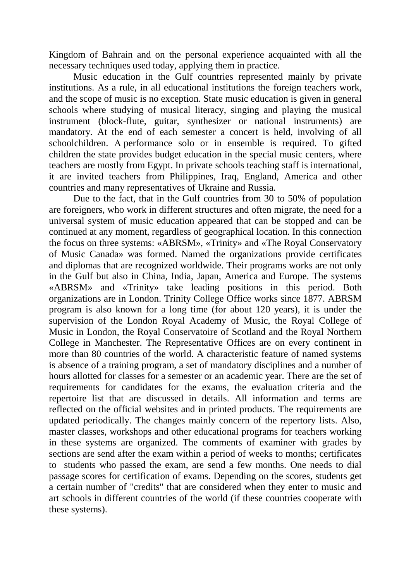Kingdom of Bahrain and on the personal experience acquainted with all the necessary techniques used today, applying them in practice.

Music education in the Gulf countries represented mainly by private institutions. As a rule, in all educational institutions the foreign teachers work, and the scope of music is no exception. State music education is given in general schools where studying of musical literacy, singing and playing the musical instrument (block-flute, guitar, synthesizer or national instruments) are mandatory. At the end of each semester a concert is held, involving of all schoolchildren. А performance solo or in ensemble is required. To gifted children the state provides budget education in the special music centers, where teachers are mostly from Egypt. In private schools teaching staff is international, it are invited teachers from Philippines, Iraq, England, America and other countries and many representatives of Ukraine and Russia.

Due to the fact, that in the Gulf countries from 30 to 50% of population are foreigners, who work in different structures and often migrate, the need for a universal system of music education appeared that can be stopped and can be continued at any moment, regardless of geographical location. In this connection the focus on three systems: «ABRSM», «Trinity» and «The Royal Conservatory of Music Canada» was formed. Named the organizations provide certificates and diplomas that are recognized worldwide. Their programs works are not only in the Gulf but also in China, India, Japan, America and Europe. The systems «ABRSM» and «Trinity» take leading positions in this period. Both organizations are in London. Trinity College Office works since 1877. ABRSM program is also known for a long time (for about 120 years), it is under the supervision of the London Royal Academy of Music, the Royal College of Music in London, the Royal Conservatoire of Scotland and the Royal Northern College in Manchester. The Representative Offices are on every continent in more than 80 countries of the world. A characteristic feature of named systems is absence of a training program, a set of mandatory disciplines and a number of hours allotted for classes for a semester or an academic year. There are the set of requirements for candidates for the exams, the evaluation criteria and the repertoire list that are discussed in details. All information and terms are reflected on the official websites and in printed products. The requirements are updated periodically. The changes mainly concern of the repertory lists. Also, master classes, workshops and other educational programs for teachers working in these systems are organized. The comments of examiner with grades by sections are send after the exam within a period of weeks to months; certificates to students who passed the exam, are send a few months. One needs to dial passage scores for certification of exams. Depending on the scores, students get a certain number of "credits" that are considered when they enter to music and art schools in different countries of the world (if these countries cooperate with these systems).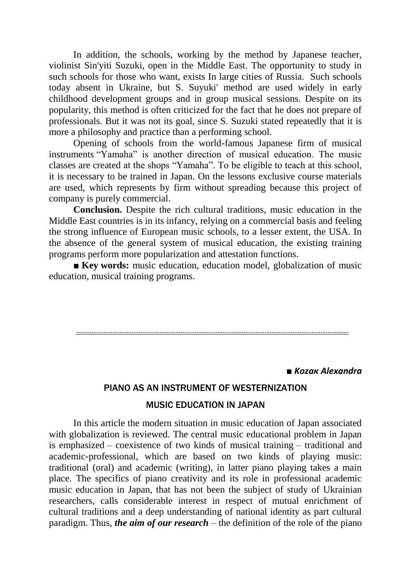In addition, the schools, working by the method by Japanese teacher, violinist Sin'yiti Suzuki, open in the Middle East. The opportunity to study in such schools for those who want, exists In large cities of Russia. Such schools today absent in Ukraine, but S. Suyuki' method are used widely in early childhood development groups and in group musical sessions. Despite on its popularity, this method is often criticized for the fact that he does not prepare of professionals. But it was not its goal, since S. Suzuki stated repeatedly that it is more a philosophy and practice than a performing school.

Opening of schools from the world-famous Japanese firm of musical instruments "Yamaha" is another direction of musical education. The music classes are created аt the shops "Yamaha". To be eligible to teach at this school, it is necessary to be trained in Japan. On the lessons exclusive course materials are used, which represents by firm without spreading because this project of company is purely commercial.

**Conclusion.** Despite the rich cultural traditions, music education in the Middle East countries is in its infancy, relying on a commercial basis and feeling the strong influence of European music schools, to a lesser extent, the USA. In the absence of the general system of musical education, the existing training programs perform more popularization and attestation functions.

**■ Key words:** music education, education model, globalization of music education, musical training programs.

…………………………………………………………………………………………………………………………………………

■ *Kozaк Alexandra*

### PIANO AS AN INSTRUMENT OF WESTERNIZATION

#### MUSIC EDUCATION IN JAPAN

In this article the modern situation in music education of Japan associated with globalization is reviewed. The central music educational problem in Japan is emphasized – coexistence of two kinds of musical training – traditional and academic-professional, which are based on two kinds of playing music: traditional (oral) and academic (writing), in latter piano playing takes a main place. The specifics of piano creativity and its role in professional academic music education in Japan, that has not been the subject of study of Ukrainian researchers, calls considerable interest in respect of mutual enrichment of cultural traditions and a deep understanding of national identity as part cultural paradigm. Thus, *the aim of our research* – the definition of the role of the piano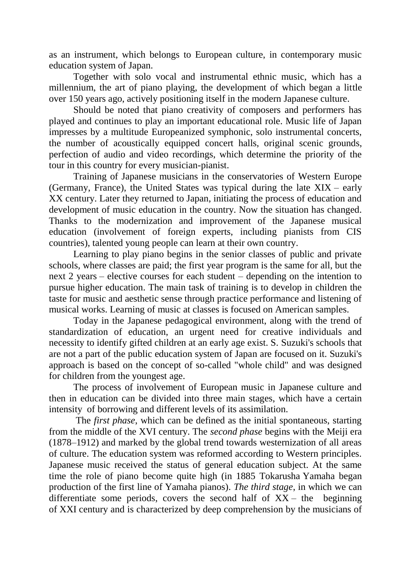as an instrument, which belongs to European culture, in contemporary music education system of Japan.

Together with solo vocal and instrumental ethnic music, which has a millennium, the art of piano playing, the development of which began a little over 150 years ago, actively positioning itself in the modern Japanese culture.

Should be noted that piano creativity of composers and performers has played and continues to play an important educational role. Music life of Japan impresses by a multitude Europeanized symphonic, solo instrumental concerts, the number of acoustically equipped concert halls, original scenic grounds, perfection of audio and video recordings, which determine the priority of the tour in this country for every musician-pianist.

Training of Japanese musicians in the conservatories of Western Europe (Germany, France), the United States was typical during the late XIX – early XX century. Later they returned to Japan, initiating the process of education and development of music education in the country. Now the situation has changed. Thanks to the modernization and improvement of the Japanese musical education (involvement of foreign experts, including pianists from CIS countries), talented young people can learn at their own country.

Learning to play piano begins in the senior classes of public and private schools, where classes are paid; the first year program is the same for all, but the next 2 years – elective courses for each student – depending on the intention to pursue higher education. The main task of training is to develop in children the taste for music and aesthetic sense through practice performance and listening of musical works. Learning of music at classes is focused on American samples.

Today in the Japanese pedagogical environment, along with the trend of standardization of education, an urgent need for creative individuals and necessity to identify gifted children at an early age exist. S. Suzuki's schools that are not a part of the public education system of Japan are focused on it. Suzuki's approach is based on the concept of so-called "whole child" and was designed for children from the youngest age.

The process of involvement of European music in Japanese culture and then in education can be divided into three main stages, which have a certain intensity of borrowing and different levels of its assimilation.

The *first phase*, which can be defined as the initial spontaneous, starting from the middle of the XVI century. The *second phase* begins with the Meiji era (1878–1912) and marked by the global trend towards westernization of all areas of culture. The education system was reformed according to Western principles. Japanese music received the status of general education subject. At the same time the role of piano become quite high (in 1885 Tokarusha Yamaha began production of the first line of Yamaha pianos). *The third stage*, in which we can differentiate some periods, covers the second half of  $XX -$  the beginning of XXI century and is characterized by deep comprehension by the musicians of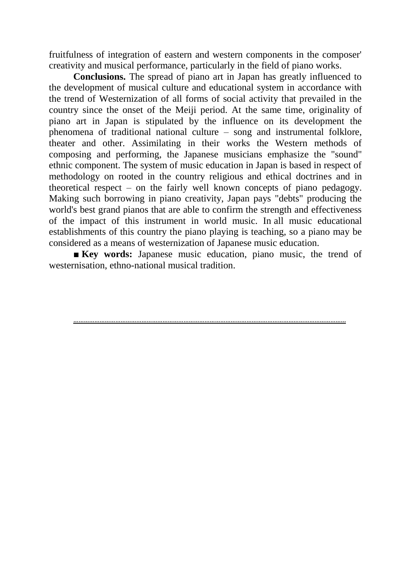fruitfulness of integration of eastern and western components in the composer' creativity and musical performance, particularly in the field of piano works.

**Conclusions.** The spread of piano art in Japan has greatly influenced to the development of musical culture and educational system in accordance with the trend of Westernization of all forms of social activity that prevailed in the country since the onset of the Meiji period. At the same time, originality of piano art in Japan is stipulated by the influence on its development the phenomena of traditional national culture – song and instrumental folklore, theater and other. Assimilating in their works the Western methods of composing and performing, the Japanese musicians emphasize the "sound" ethnic component. The system of music education in Japan is based in respect of methodology on rooted in the country religious and ethical doctrines and in theoretical respect – on the fairly well known concepts of piano pedagogy. Making such borrowing in piano creativity, Japan pays "debts" producing the world's best grand pianos that are able to confirm the strength and effectiveness of the impact of this instrument in world music. In all music educational establishments of this country the piano playing is teaching, so a piano may be considered as a means of westernization of Japanese music education.

■ **Key words:** Japanese music education, piano music, the trend of westernisation, ethno-national musical tradition.

#### …………………………………………………………………………………………………………………………………………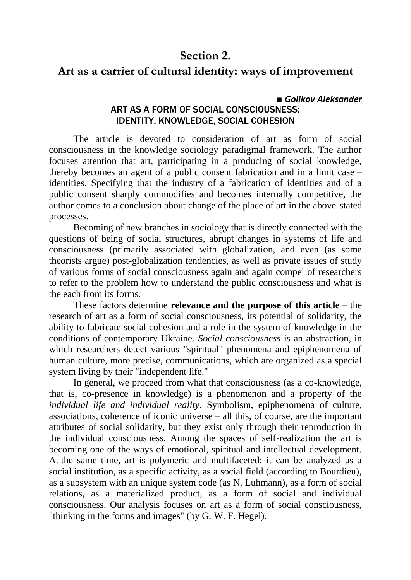### **Section 2.**

### **Art as a carrier of cultural identity: ways of improvement**

#### **■** *Golikov Aleksander* ART AS A FORM OF SOCIAL CONSCIOUSNESS: IDENTITY, KNOWLEDGE, SOCIAL COHESION

The article is devoted to consideration of art as form of social consciousness in the knowledge sociology paradigmal framework. The author focuses attention that art, participating in a producing of social knowledge, thereby becomes an agent of a public consent fabrication and in a limit case – identities. Specifying that the industry of a fabrication of identities and of a public consent sharply commodifies and becomes internally competitive, the author comes to a conclusion about change of the place of art in the above-stated processes.

Becoming of new branches in sociology that is directly connected with the questions of being of social structures, abrupt changes in systems of life and consciousness (primarily associated with globalization, and even (as some theorists argue) post-globalization tendencies, as well as private issues of study of various forms of social consciousness again and again compel of researchers to refer to the problem how to understand the public consciousness and what is the each from its forms.

These factors determine **relevance and the purpose of this article** – the research of art as a form of social consciousness, its potential of solidarity, the ability to fabricate social cohesion and a role in the system of knowledge in the conditions of contemporary Ukraine. *Social consciousness* is an abstraction, in which researchers detect various "spiritual" phenomena and epiphenomena of human culture, more precise, communications, which are organized as a special system living by their "independent life."

In general, we proceed from what that consciousness (as a co-knowledge, that is, co-presence in knowledge) is a phenomenon and a property of the *individual life and individual reality*. Symbolism, epiphenomena of culture, associations, coherence of iconic universe – all this, of course, are the important attributes of social solidarity, but they exist only through their reproduction in the individual consciousness. Among the spaces of self-realization the art is becoming one of the ways of emotional, spiritual and intellectual development. At the same time, art is polymeric and multifaceted: it can be analyzed as a social institution, as a specific activity, as a social field (according to Bourdieu), as a subsystem with an unique system code (as N. Luhmann), as a form of social relations, as a materialized product, as a form of social and individual consciousness. Our analysis focuses on art as a form of social consciousness, "thinking in the forms and images" (by G. W. F. Hegel).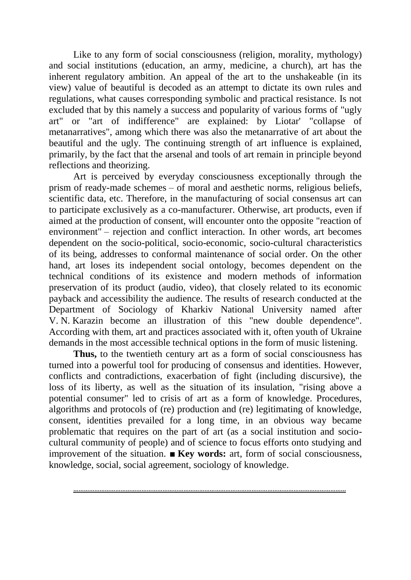Like to any form of social consciousness (religion, morality, mythology) and social institutions (education, an army, medicine, a church), art has the inherent regulatory ambition. An appeal of the art to the unshakeable (in its view) value of beautiful is decoded as an attempt to dictate its own rules and regulations, what causes corresponding symbolic and practical resistance. Is not excluded that by this namely a success and popularity of various forms of "ugly art" or "art of indifference" are explained: by Liotar' "collapse of metanarratives", among which there was also the metanarrative of art about the beautiful and the ugly. The continuing strength of art influence is explained, primarily, by the fact that the arsenal and tools of art remain in principle beyond reflections and theorizing.

Art is perceived by everyday consciousness exceptionally through the prism of ready-made schemes – of moral and aesthetic norms, religious beliefs, scientific data, etc. Therefore, in the manufacturing of social consensus art can to participate exclusively as a co-manufacturer. Otherwise, art products, even if aimed at the production of consent, will encounter onto the opposite "reaction of environment" – rejection and conflict interaction. In other words, art becomes dependent on the socio-political, socio-economic, socio-cultural characteristics of its being, addresses to conformal maintenance of social order. On the other hand, art loses its independent social ontology, becomes dependent on the technical conditions of its existence and modern methods of information preservation of its product (audio, video), that closely related to its economic payback and accessibility the audience. The results of research conducted at the Department of Sociology of Kharkiv National University named after V. N. Karazin become an illustration of this "new double dependence". According with them, art and practices associated with it, often youth of Ukraine demands in the most accessible technical options in the form of music listening.

**Thus,** to the twentieth century art as a form of social consciousness has turned into a powerful tool for producing of consensus and identities. However, conflicts and contradictions, exacerbation of fight (including discursive), the loss of its liberty, as well as the situation of its insulation, "rising above a potential consumer" led to crisis of art as a form of knowledge. Procedures, algorithms and protocols of (re) production and (re) legitimating of knowledge, consent, identities prevailed for a long time, in an obvious way became problematic that requires on the part of art (as a social institution and sociocultural community of people) and of science to focus efforts onto studying and improvement of the situation. **■ Key words:** art, form of social consciousness, knowledge, social, social agreement, sociology of knowledge.

…………………………………………………………………………………………………………………………………………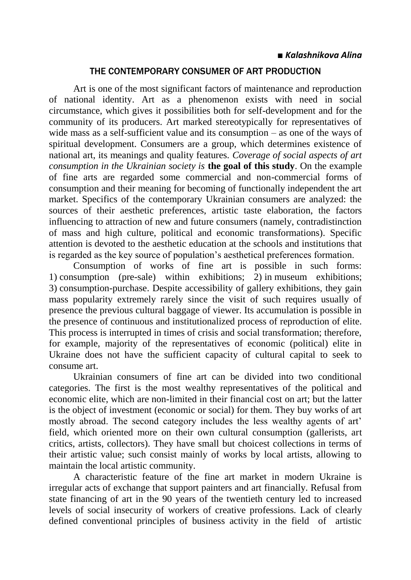### THE CONTEMPORARY CONSUMER OF ART PRODUCTION

Art is one of the most significant factors of maintenance and reproduction of national identity. Art as a phenomenon exists with need in social circumstance, which gives it possibilities both for self-development and for the community of its producers. Art marked stereotypically for representatives of wide mass as a self-sufficient value and its consumption – as one of the ways of spiritual development. Consumers are a group, which determines existence of national art, its meanings and quality features*. Coverage of social aspects of art consumption in the Ukrainian society is* **the goal of this study**. On the example of fine arts are regarded some commercial and non-commercial forms of consumption and their meaning for becoming of functionally independent the art market. Specifics of the contemporary Ukrainian consumers are analyzed: the sources of their aesthetic preferences, artistic taste elaboration, the factors influencing to attraction of new and future consumers (namely, contradistinction of mass and high culture, political and economic transformations). Specific attention is devoted to the aesthetic education at the schools and institutions that is regarded as the key source of population's aesthetical preferences formation.

Consumption of works of fine art is possible in such forms: 1) consumption (pre-sale) within exhibitions; 2) in museum exhibitions; 3) consumption-purchase. Despite accessibility of gallery exhibitions, they gain mass popularity extremely rarely since the visit of such requires usually of presence the previous cultural baggage of viewer. Its accumulation is possible in the presence of continuous and institutionalized process of reproduction of elite. This process is interrupted in times of crisis and social transformation; therefore, for example, majority of the representatives of economic (political) elite in Ukraine does not have the sufficient capacity of cultural capital to seek to consume art.

Ukrainian consumers of fine art can be divided into two conditional categories. The first is the most wealthy representatives of the political and economic elite, which are non-limited in their financial cost on art; but the latter is the object of investment (economic or social) for them. They buy works of art mostly abroad. The second category includes the less wealthy agents of art' field, which oriented more on their own cultural consumption (gallerists, art critics, artists, collectors). They have small but choicest collections in terms of their artistic value; such consist mainly of works by local artists, allowing to maintain the local artistic community.

A characteristic feature of the fine art market in modern Ukraine is irregular acts of exchange that support painters and art financially. Refusal from state financing of art in the 90 years of the twentieth century led to increased levels of social insecurity of workers of creative professions. Lack of clearly defined conventional principles of business activity in the field of artistic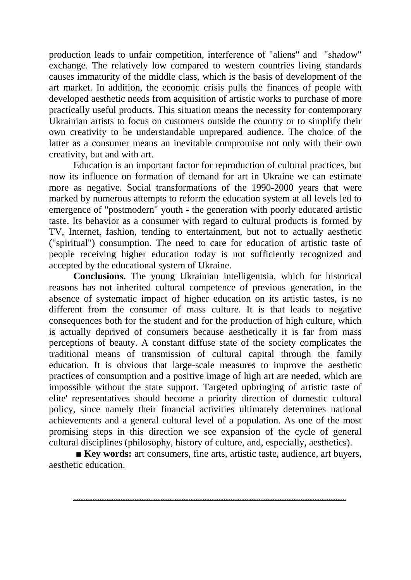production leads to unfair competition, interference of "aliens" and "shadow" exchange. The relatively low compared to western countries living standards causes immaturity of the middle class, which is the basis of development of the art market. In addition, the economic crisis pulls the finances of people with developed aesthetic needs from acquisition of artistic works to purchase of more practically useful products. This situation means the necessity for contemporary Ukrainian artists to focus on customers outside the country or to simplify their own creativity to be understandable unprepared audience. The choice of the latter as a consumer means an inevitable compromise not only with their own creativity, but and with art.

Education is an important factor for reproduction of cultural practices, but now its influence on formation of demand for art in Ukraine we can estimate more as negative. Social transformations of the 1990-2000 years that were marked by numerous attempts to reform the education system at all levels led to emergence of "postmodern" youth - the generation with poorly educated artistic taste. Its behavior as a consumer with regard to cultural products is formed by TV, Internet, fashion, tending to entertainment, but not to actually aesthetic ("spiritual") consumption. The need to care for education of artistic taste of people receiving higher education today is not sufficiently recognized and accepted by the educational system of Ukraine.

**Conclusions.** The young Ukrainian intelligentsia, which for historical reasons has not inherited cultural competence of previous generation, in the absence of systematic impact of higher education on its artistic tastes, is no different from the consumer of mass culture. It is that leads to negative consequences both for the student and for the production of high culture, which is actually deprived of consumers because aesthetically it is far from mass perceptions of beauty. A constant diffuse state of the society complicates the traditional means of transmission of cultural capital through the family education. It is obvious that large-scale measures to improve the aesthetic practices of consumption and a positive image of high art are needed, which are impossible without the state support. Targeted upbringing of artistic taste of elite' representatives should become a priority direction of domestic cultural policy, since namely their financial activities ultimately determines national achievements and a general cultural level of a population. As one of the most promising steps in this direction we see expansion of the cycle of general cultural disciplines (philosophy, history of culture, and, especially, aesthetics).

■ **Key words:** art consumers, fine arts, artistic taste, audience, art buyers, aesthetic education.

…………………………………………………………………………………………………………………………………………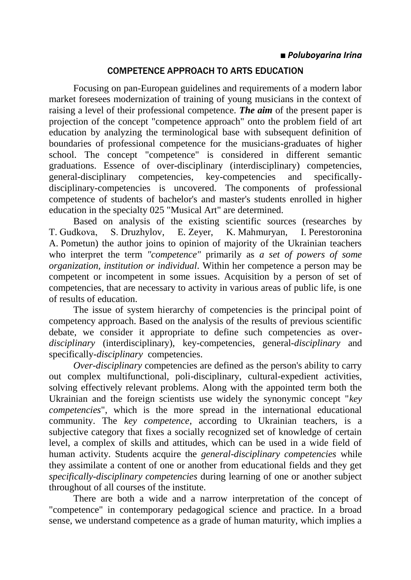### COMPETENCE APPROACH TO ARTS EDUCATION

Focusing on pan-European guidelines and requirements of a modern labor market foresees modernization of training of young musicians in the context of raising a level of their professional competence. *The aim* of the present paper is projection of the concept "competence approach" onto the problem field of art education by analyzing the terminological base with subsequent definition of boundaries of professional competence for the musicians-graduates of higher school. The concept "competence" is considered in different semantic graduations. Essence of over-disciplinary (interdisciplinary) competencies, general-disciplinary competencies, key-competencies and specificallydisciplinary-competencies is uncovered. The components of professional competence of students of bachelor's and master's students enrolled in higher education in the specialty 025 "Musical Art" are determined.

Based on analysis of the existing scientific sources (researches by T. Gudkovа, S. Druzhylov, E. Zeyer, K. Mahmuryan, I. Perestoronina A. Pometun) the author joins to opinion of majority of the Ukrainian teachers who interpret the term *"competence"* primarily as *a set of powers of some organization, institution or individual*. Within her competence a person may be competent or incompetent in some issues. Acquisition by a person of set of competencies, that are necessary to activity in various areas of public life, is one of results of education.

The issue of system hierarchy of competencies is the principal point of competency approach. Based on the analysis of the results of previous scientific debate, we consider it appropriate to define such competencies as over*disciplinary* (interdisciplinary), key-competencies, general-*disciplinary* and specifically-*disciplinary* competencies.

*Over-disciplinary* competencies are defined as the person's ability to carry out complex multifunctional, poli-disciplinary, cultural-expedient activities, solving effectively relevant problems. Along with the appointed term both the Ukrainian and the foreign scientists use widely the synonymic concept "*key competencies*", which is the more spread in the international educational community. The *key competence*, according to Ukrainian teachers, is a subjective category that fixes a socially recognized set of knowledge of certain level, a complex of skills and attitudes, which can be used in a wide field of human activity. Students acquire the *general-disciplinary competencies* while they assimilate a content of one or another from educational fields and they get *specifically-disciplinary competencies* during learning of one or another subject throughout of all courses of the institute.

There are both a wide and a narrow interpretation of the concept of "competence" in contemporary pedagogical science and practice. In a broad sense, we understand competence as a grade of human maturity, which implies a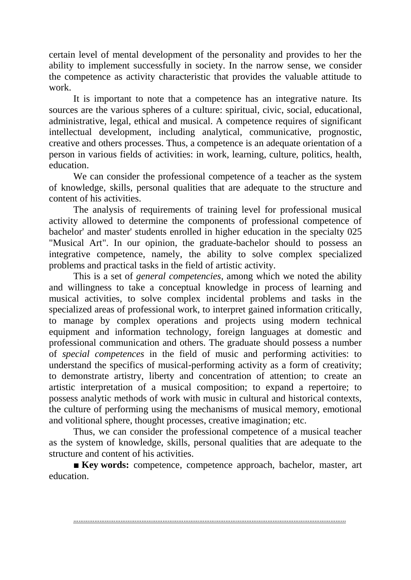certain level of mental development of the personality and provides to her the ability to implement successfully in society. In the narrow sense, we consider the competence as activity characteristic that provides the valuable attitude to work.

It is important to note that a competence has an integrative nature. Its sources are the various spheres of a culture: spiritual, civic, social, educational, administrative, legal, ethical and musical. A competence requires of significant intellectual development, including analytical, communicative, prognostic, creative and others processes. Thus, a competence is an adequate orientation of a person in various fields of activities: in work, learning, culture, politics, health, education.

We can consider the professional competence of a teacher as the system of knowledge, skills, personal qualities that are adequate to the structure and content of his activities.

The analysis of requirements of training level for professional musical activity allowed to determine the components of professional competence of bachelor' and master' students enrolled in higher education in the specialty 025 "Musical Art". In our opinion, the graduate-bachelor should to possess an integrative competence, namely, the ability to solve complex specialized problems and practical tasks in the field of artistic activity.

This is a set of *general competencies*, among which we noted the ability and willingness to take a conceptual knowledge in process of learning and musical activities, to solve complex incidental problems and tasks in the specialized areas of professional work, to interpret gained information critically, to manage by complex operations and projects using modern technical equipment and information technology, foreign languages at domestic and professional communication and others. The graduate should possess a number of *special competences* in the field of music and performing activities: to understand the specifics of musical-performing activity as a form of creativity; to demonstrate artistry, liberty and concentration of attention; to create an artistic interpretation of a musical composition; to expand a repertoire; to possess analytic methods of work with music in cultural and historical contexts, the culture of performing using the mechanisms of musical memory, emotional and volitional sphere, thought processes, creative imagination; etc.

Thus, we can consider the professional competence of a musical teacher as the system of knowledge, skills, personal qualities that are adequate to the structure and content of his activities.

**■ Key words:** competence, competence approach, bachelor, master, art education.

…………………………………………………………………………………………………………………………………………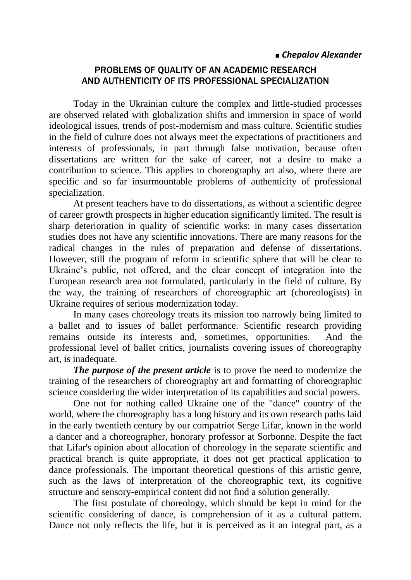### **■** *Chepalov Alexander*

### PROBLEMS OF QUALITY OF AN ACADEMIC RESEARCH AND AUTHENTICITY OF ITS PROFESSIONAL SPECIALIZATION

Today in the Ukrainian culture the complex and little-studied processes are observed related with globalization shifts and immersion in space of world ideological issues, trends of post-modernism and mass culture. Scientific studies in the field of culture does not always meet the expectations of practitioners and interests of professionals, in part through false motivation, because often dissertations are written for the sake of career, not a desire to make a contribution to science. This applies to choreography art also, where there are specific and so far insurmountable problems of authenticity of professional specialization.

At present teachers have to do dissertations, as without a scientific degree of career growth prospects in higher education significantly limited. The result is sharp deterioration in quality of scientific works: in many cases dissertation studies does not have any scientific innovations. There are many reasons for the radical changes in the rules of preparation and defense of dissertations. However, still the program of reform in scientific sphere that will be clear to Ukraine's public, not offered, and the clear concept of integration into the European research area not formulated, particularly in the field of culture. By the way, the training of researchers of choreographic art (choreologists) in Ukraine requires of serious modernization today.

In many cases choreology treats its mission too narrowly being limited to a ballet and to issues of ballet performance. Scientific research providing remains outside its interests and, sometimes, opportunities. And the professional level of ballet critics, journalists covering issues of choreography art, is inadequate.

*The purpose of the present article* is to prove the need to modernize the training of the researchers of choreography art and formatting of choreographic science considering the wider interpretation of its capabilities and social powers.

One not for nothing called Ukraine one of the "dance" country of the world, where the choreography has a long history and its own research paths laid in the early twentieth century by our compatriot Serge Lifar, known in the world a dancer and a choreographer, honorary professor at Sorbonne. Despite the fact that Lifar's opinion about allocation of choreology in the separate scientific and practical branch is quite appropriate, it does not get practical application to dance professionals. The important theoretical questions of this artistic genre, such as the laws of interpretation of the choreographic text, its cognitive structure and sensory-empirical content did not find a solution generally.

The first postulate of choreology, which should be kept in mind for the scientific considering of dance, is comprehension of it as a cultural pattern. Dance not only reflects the life, but it is perceived as it an integral part, as a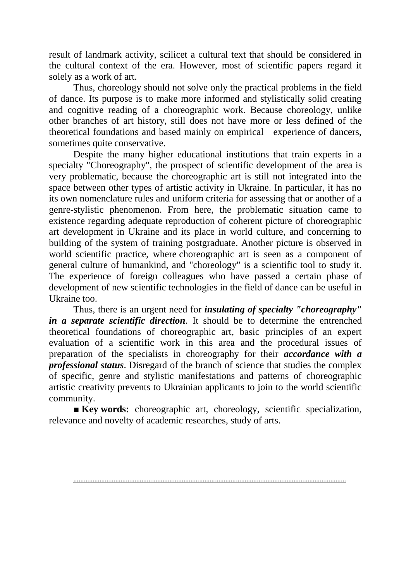result of landmark activity, scilicet a cultural text that should be considered in the cultural context of the era. However, most of scientific papers regard it solely as a work of art.

Thus, choreology should not solve only the practical problems in the field of dance. Its purpose is to make more informed and stylistically solid creating and cognitive reading of a choreographic work. Because choreology, unlike other branches of art history, still does not have more or less defined of the theoretical foundations and based mainly on empirical experience of dancers, sometimes quite conservative.

Despite the many higher educational institutions that train experts in a specialty "Choreography", the prospect of scientific development of the area is very problematic, because the choreographic art is still not integrated into the space between other types of artistic activity in Ukraine. In particular, it has no its own nomenclature rules and uniform criteria for assessing that or another of a genre-stylistic phenomenon. From here, the problematic situation came to existence regarding adequate reproduction of coherent picture of choreographic art development in Ukraine and its place in world culture, and concerning to building of the system of training postgraduate. Another picture is observed in world scientific practice, where choreographic art is seen as a component of general culture of humankind, and "choreology" is a scientific tool to study it. The experience of foreign colleagues who have passed a certain phase of development of new scientific technologies in the field of dance can be useful in Ukraine too.

Thus, there is an urgent need for *insulating of specialty "choreography" in a separate scientific direction*. It should be to determine the entrenched theoretical foundations of choreographic art, basic principles of an expert evaluation of a scientific work in this area and the procedural issues of preparation of the specialists in choreography for their *accordance with a professional status*. Disregard of the branch of science that studies the complex of specific, genre and stylistic manifestations and patterns of choreographic artistic creativity prevents to Ukrainian applicants to join to the world scientific community.

**■ Key words:** choreographic art, choreology, scientific specialization, relevance and novelty of academic researches, study of arts.

…………………………………………………………………………………………………………………………………………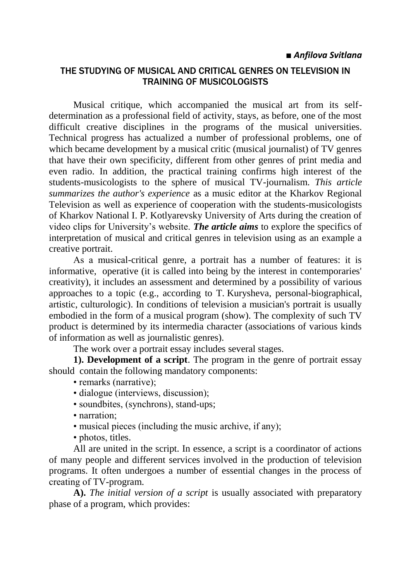#### *■ Anfilova Svitlana*

### THE STUDYING OF MUSICAL AND CRITICAL GENRES ON TELEVISION IN TRAINING OF MUSICOLOGISTS

Musical critique, which accompanied the musical art from its selfdetermination as a professional field of activity, stays, as before, one of the most difficult creative disciplines in the programs of the musical universities. Technical progress has actualized a number of professional problems, one of which became development by a musical critic (musical journalist) of TV genres that have their own specificity, different from other genres of print media and even radio. In addition, the practical training confirms high interest of the students-musicologists to the sphere of musical TV-journalism. *This article summarizes the author's experience* as a music editor at the Kharkov Regional Television as well as experience of cooperation with the students-musicologists of Kharkov National I. P. Kotlyarevsky University of Arts during the creation of video clips for University's website. *The article aims* to explore the specifics of interpretation of musical and critical genres in television using as an example a creative portrait.

As а musical-critical genre, a portrait has a number of features: it is informative, operative (it is called into being by the interest in contemporaries' creativity), it includes an assessment and determined by a possibility of various approaches to a topic (e.g., according to T. Kurysheva, personal-biographical, artistic, culturologic). In conditions of television a musician's portrait is usually embodied in the form of a musical program (show). The complexity of such TV product is determined by its intermedia character (associations of various kinds of information as well as journalistic genres).

The work over a portrait essay includes several stages.

**1). Development of a script**. The program in the genre of portrait essay should contain the following mandatory components:

- remarks (narrative):
- dialogue (interviews, discussion);
- soundbites, (synchrons), stand-ups;
- narration:
- musical pieces (including the music archive, if any);
- photos, titles.

All are united in the script. In essence, a script is a coordinator of actions of many people and different services involved in the production of television programs. It often undergoes a number of essential changes in the process of creating of ТV-program.

**A).** *The initial version of a script* is usually associated with preparatory phase of a program, which provides: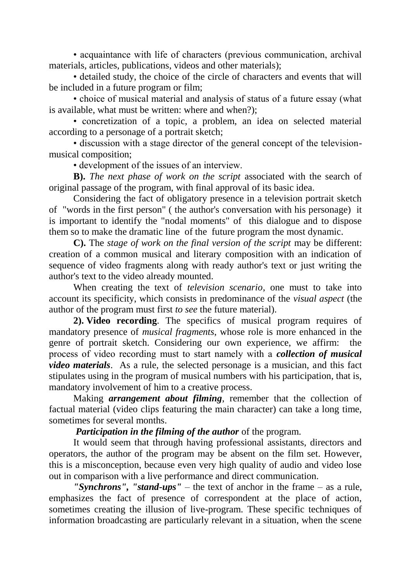• acquaintance with life of characters (previous communication, archival materials, articles, publications, videos and other materials);

• detailed study, the choice of the circle of characters and events that will be included in a future program or film;

• choice of musical material and analysis of status of a future essay (what is available, what must be written: where and when?);

• concretization of a topic, a problem, an idea on selected material according to a personage of a portrait sketch;

• discussion with a stage director of the general concept of the televisionmusical composition;

• development of the issues of an interview.

**B).** *The next phase of work on the script* associated with the search of original passage of the program, with final approval of its basic idea.

Considering the fact of obligatory presence in a television portrait sketch of "words in the first person" ( the author's conversation with his personage) it is important to identify the "nodal moments" of this dialogue and to dispose them so to make the dramatic line of the future program the most dynamic.

**C).** The *stage of work on the final version of the script* may be different: creation of a common musical and literary composition with an indication of sequence of video fragments along with ready author's text or just writing the author's text to the video already mounted.

When creating the text of *television scenario*, one must to take into account its specificity, which consists in predominance of the *visual aspect* (the author of the program must first *to see* the future material).

**2). Video recording**. The specifics of musical program requires of mandatory presence of *musical fragments*, whose role is more enhanced in the genre of portrait sketch. Considering our own experience, we affirm: the process of video recording must to start namely with а *collection of musical video materials*. As a rule, the selected personage is a musician, and this fact stipulates using in the program of musical numbers with his participation, that is, mandatory involvement of him to a creative process.

Making *arrangement about filming*, remember that the collection of factual material (video clips featuring the main character) can take a long time, sometimes for several months.

### *Participation in the filming of the author* of the program.

It would seem that through having professional assistants, directors and operators, the author of the program may be absent on the film set. However, this is a misconception, because even very high quality of audio and video lose out in comparison with a live performance and direct communication.

*"Synchrons", "stand-ups"* – the text of anchor in the frame – as a rule, emphasizes the fact of presence of correspondent at the place of action, sometimes creating the illusion of live-program. These specific techniques of information broadcasting are particularly relevant in a situation, when the scene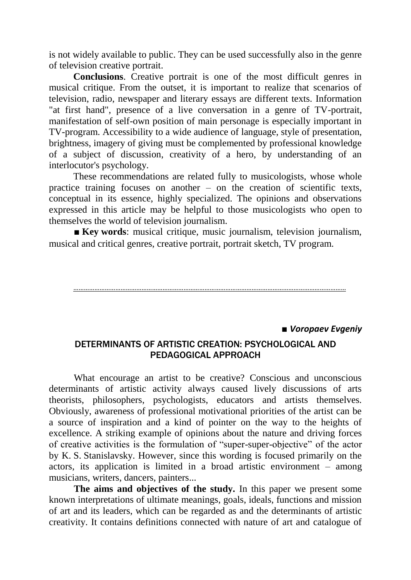is not widely available to public. They can be used successfully also in the genre of television creative portrait.

**Conclusions**. Creative portrait is one of the most difficult genres in musical critique. From the outset, it is important to realize that scenarios of television, radio, newspaper and literary essays are different texts. Information "at first hand", presence of a live conversation in a genre of TV-portrait, manifestation of self-own position of main personage is especially important in TV-program. Accessibility to a wide audience of language, style of presentation, brightness, imagery of giving must be complemented by professional knowledge of a subject of discussion, creativity of a hero, by understanding of an interlocutor's psychology.

These recommendations are related fully to musicologists, whose whole practice training focuses on another  $-$  on the creation of scientific texts, conceptual in its essence, highly specialized. The opinions and observations expressed in this article may be helpful to those musicologists who open to themselves the world of television journalism.

■ **Key words**: musical critique, music journalism, television journalism, musical and critical genres, creative portrait, portrait sketch, TV program.

…………………………………………………………………………………………………………………………………………

■ *Voropaev Evgeniy*

### DETERMINANTS OF ARTISTIC CREATION: PSYCHOLOGICAL AND PEDAGOGICAL APPROACH

What encourage an artist to be creative? Conscious and unconscious determinants of artistic activity always caused lively discussions of arts theorists, philosophers, psychologists, educators and artists themselves. Obviously, awareness of professional motivational priorities of the artist can be a source of inspiration and a kind of pointer on the way to the heights of excellence. A striking example of opinions about the nature and driving forces of creative activities is the formulation of "super-super-objective" of the actor by K. S. Stanislavsky. However, since this wording is focused primarily on the actors, its application is limited in a broad artistic environment – among musicians, writers, dancers, painters...

**The aims and objectives of the study.** In this paper we present some known interpretations of ultimate meanings, goals, ideals, functions and mission of art and its leaders, which can be regarded as and the determinants of artistic creativity. It contains definitions connected with nature of art and catalogue of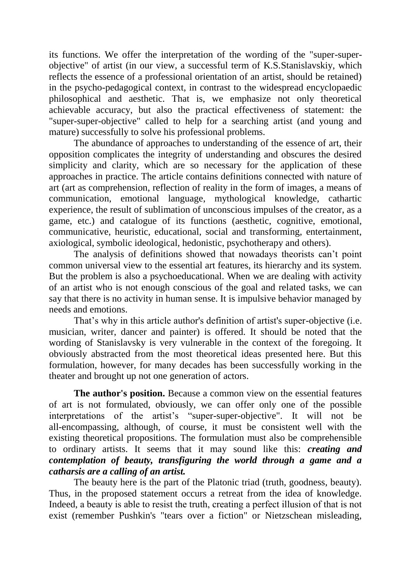its functions. We offer the interpretation of the wording of the "super-superobjective" of artist (in our view, a successful term of K.S.Stanislavskiy, which reflects the essence of a professional orientation of an artist, should be retained) in the psycho-pedagogical context, in contrast to the widespread encyclopaedic philosophical and aesthetic. That is, we emphasize not only theoretical achievable accuracy, but also the practical effectiveness of statement: the "super-super-objective" called to help for a searching artist (and young and mature) successfully to solve his professional problems.

The abundance of approaches to understanding of the essence of art, their opposition complicates the integrity of understanding and obscures the desired simplicity and clarity, which are so necessary for the application of these approaches in practice. The article contains definitions connected with nature of art (art as comprehension, reflection of reality in the form of images, a means of communication, emotional language, mythological knowledge, cathartic experience, the result of sublimation of unconscious impulses of the creator, as a game, etc.) and catalogue of its functions (aesthetic, cognitive, emotional, communicative, heuristic, educational, social and transforming, entertainment, axiological, symbolic ideological, hedonistic, psychotherapy and others).

The analysis of definitions showed that nowadays theorists can't point common universal view to the essential art features, its hierarchy and its system. But the problem is also a psychoeducational. When we are dealing with activity of an artist who is not enough conscious of the goal and related tasks, we can say that there is no activity in human sense. It is impulsive behavior managed by needs and emotions.

That's why in this article author's definition of artist's super-objective (i.e. musician, writer, dancer and painter) is offered. It should be noted that the wording of Stanislavsky is very vulnerable in the context of the foregoing. It obviously abstracted from the most theoretical ideas presented here. But this formulation, however, for many decades has been successfully working in the theater and brought up not one generation of actors.

**The author's position.** Because a common view on the essential features of art is not formulated, obviously, we can offer only one of the possible interpretations of the artist's "super-super-objective". It will not be all-encompassing, although, of course, it must be consistent well with the existing theoretical propositions. The formulation must also be comprehensible to ordinary artists. It seems that it may sound like this: *creating and contemplation of beauty, transfiguring the world through a game and a catharsis are a calling of an artist.* 

The beauty here is the part of the Platonic triad (truth, goodness, beauty). Thus, in the proposed statement occurs a retreat from the idea of knowledge. Indeed, а beauty is able to resist the truth, creating a perfect illusion of that is not exist (remember Pushkin's "tears over a fiction" or Nietzschean misleading,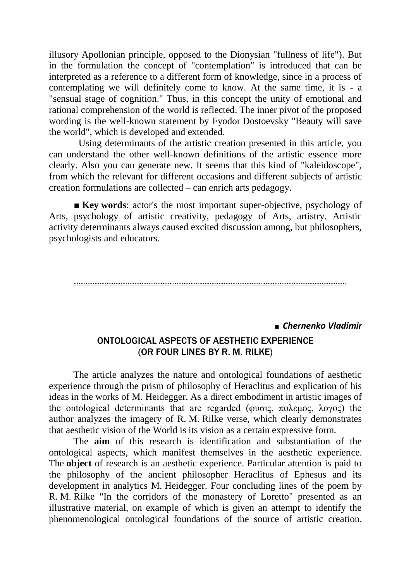illusory Apollonian principle, opposed to the Dionysian "fullness of life"). But in the formulation the concept of "contemplation" is introduced that can be interpreted as a reference to a different form of knowledge, since in a process of contemplating we will definitely come to know. At the same time, it is - a "sensual stage of cognition." Thus, in this concept the unity of emotional and rational comprehension of the world is reflected. The inner pivot of the proposed wording is the well-known statement by Fyodor Dostoevsky "Beauty will save the world", which is developed and extended.

 Using determinants of the artistic creation presented in this article, you can understand the other well-known definitions of the artistic essence more clearly. Also you can generate new. It seems that this kind of "kaleidoscope", from which the relevant for different occasions and different subjects of artistic creation formulations are collected – can enrich arts pedagogy.

■ **Key words**: actor's the most important super-objective, psychology of Arts, psychology of artistic creativity, pedagogy of Arts, artistry. Artistic activity determinants always caused excited discussion among, but philosophers, psychologists and educators.

#### …………………………………………………………………………………………………………………………………………

■ *Chernenko Vladimir*

### ONTOLOGICAL ASPECTS OF AESTHETIC EXPERIENCE (OR FOUR LINES BY R. M. RILKE)

The article analyzes the nature and ontological foundations of aesthetic experience through the prism of philosophy of Heraclitus and explication of his ideas in the works of M. Heidegger. As a direct embodiment in artistic images of the ontological determinants that are regarded (φυσις, πολεμος, λογος) the author analyzes the imagery of R. M. Rilke verse, which clearly demonstrates that aesthetic vision of the World is its vision as a certain expressive form.

The **aim** of this research is identification and substantiation of the ontological aspects, which manifest themselves in the aesthetic experience. The **object** of research is an aesthetic experience. Particular attention is paid to the philosophy of the ancient philosopher Heraclitus of Ephesus and its development in analytics M. Heidegger. Four concluding lines of the poem by R. M. Rilke "In the corridors of the monastery of Loretto" presented as an illustrative material, on example of which is given an attempt to identify the phenomenological ontological foundations of the source of artistic creation.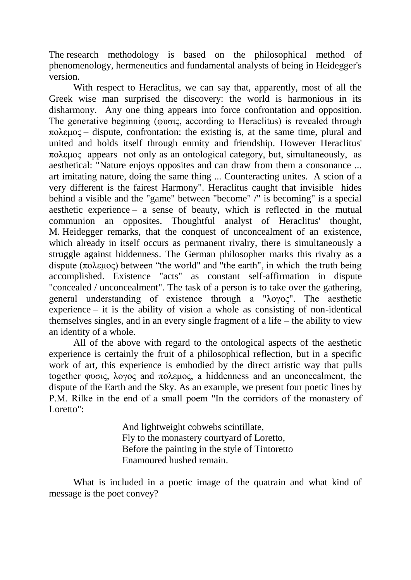The research methodology is based on the philosophical method of phenomenology, hermeneutics and fundamental analysts of being in Heidegger's version.

With respect to Heraclitus, we can say that, apparently, most of all the Greek wise man surprised the discovery: the world is harmonious in its disharmony. Any one thing appears into force confrontation and opposition. The generative beginning (φυσις, according to Heraclitus) is revealed through  $\pi$ ολεμος – dispute, confrontation: the existing is, at the same time, plural and united and holds itself through enmity and friendship. However Heraclitus' πολεμος appears not only as an ontological category, but, simultaneously, as aesthetical: "Nature enjoys opposites and can draw from them a consonance ... art imitating nature, doing the same thing ... Counteracting unites. A scion of a very different is the fairest Harmony". Heraclitus caught that invisible hides behind a visible and the "game" between "become" /" is becoming" is a special aesthetic experience – a sense of beauty, which is reflected in the mutual communion an opposites. Thoughtful analyst of Heraclitus' thought, M. Heidegger remarks, that the conquest of unconcealment of an existence, which already in itself occurs as permanent rivalry, there is simultaneously a struggle against hiddenness. The German philosopher marks this rivalry as a dispute (πολεμος) between "the world" and "the earth", in which the truth being accomplished. Existence "acts" as constant self-affirmation in dispute "concealed / unconcealment". The task of a person is to take over the gathering, general understanding of existence through a "λογος". The aesthetic experience – it is the ability of vision a whole as consisting of non-identical themselves singles, and in an every single fragment of a life – the ability to view an identity of a whole.

All of the above with regard to the ontological aspects of the aesthetic experience is certainly the fruit of a philosophical reflection, but in a specific work of art, this experience is embodied by the direct artistic way that pulls together φυσις, λογος and πολεμος, a hiddenness and an unconcealment, the dispute of the Earth and the Sky. As an example, we present four poetic lines by Р.М. Rilke in the end of a small poem "In the corridors of the monastery of Loretto":

> And lightweight cobwebs scintillate, Fly to the monastery courtyard of Loretto, Before the painting in the style of Tintoretto Enamoured hushed remain.

What is included in a poetic image of the quatrain and what kind of message is the poet convey?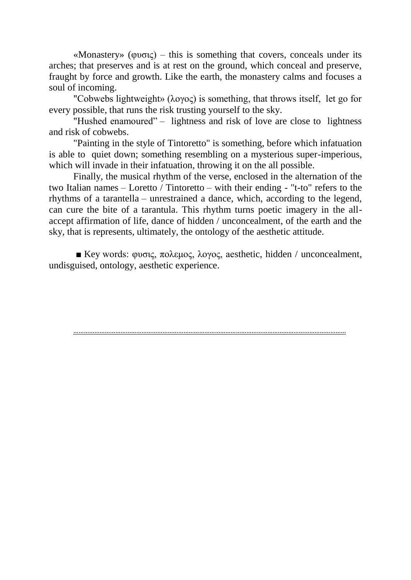«Monastery» (φυσις) – this is something that covers, conceals under its arches; that preserves and is at rest on the ground, which conceal and preserve, fraught by force and growth. Like the earth, the monastery calms and focuses a soul of incoming.

"Сobwebs lightweight» (λογος) is something, that throws itself, let go for every possible, that runs the risk trusting yourself to the sky.

"Hushed enamoured" – lightness and risk of love are close to lightness and risk of cobwebs.

"Painting in the style of Tintoretto" is something, before which infatuation is able to quiet down; something resembling on a mysterious super-imperious, which will invade in their infatuation, throwing it on the all possible.

Finally, the musical rhythm of the verse, enclosed in the alternation of the two Italian names – Loretto / Tintoretto – with their ending - "t-to" refers to the rhythms of a tarantella – unrestrained a dance, which, according to the legend, can cure the bite of a tarantula. This rhythm turns poetic imagery in the allaccept affirmation of life, dance of hidden / unconcealment, of the earth and the sky, that is represents, ultimately, the ontology of the aesthetic attitude.

 $\blacksquare$  Key words: φυσις, πολεμος, λογος, aesthetic, hidden / unconcealment, undisguised, ontology, aesthetic experience.

…………………………………………………………………………………………………………………………………………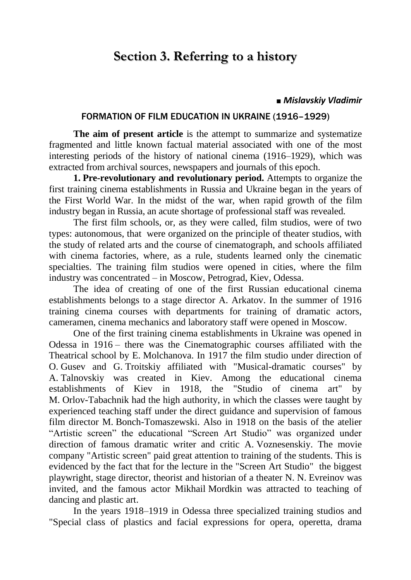## **Section 3. Referring to a history**

#### **■** *Mislavskiy Vladimir*

#### FORMATION OF FILM EDUCATION IN UKRAINE (1916–1929)

**The aim of present article** is the attempt to summarize and systematize fragmented and little known factual material associated with one of the most interesting periods of the history of national cinema (1916–1929), which was extracted from archival sources, newspapers and journals of this epoch.

**1. Pre-revolutionary and revolutionary period.** Attempts to organize the first training cinema establishments in Russia and Ukraine began in the years of the First World War. In the midst of the war, when rapid growth of the film industry began in Russia, an acute shortage of professional staff was revealed.

The first film schools, or, as they were called, film studios, were of two types: autonomous, that were organized on the principle of theater studios, with the study of related arts and the course of cinematograph, and schools affiliated with cinema factories, where, as a rule, students learned only the cinematic specialties. The training film studios were opened in cities, where the film industry was concentrated – in Moscow, Petrograd, Kiev, Odessa.

The idea of creating of one of the first Russian educational cinema establishments belongs to a stage director A. Arkatov. In the summer of 1916 training cinema courses with departments for training of dramatic actors, cameramen, cinema mechanics and laboratory staff were opened in Moscow.

One of the first training cinema establishments in Ukraine was opened in Odessa in 1916 – there was the Cinematographic courses affiliated with the Theatrical school by E. Molchanova. In 1917 the film studio under direction of O. Gusev and G. Troitskiy affiliated with "Musical-dramatic courses" by A. Talnovskiy was created in Kiev. Among the educational cinema establishments of Kiev in 1918, the "Studio of cinema art" by M. Orlov-Tabachnik had the high authority, in which the classes were taught by experienced teaching staff under the direct guidance and supervision of famous film director M. Bonch-Tomaszewski. Also in 1918 on the basis of the atelier "Artistic screen" the educational "Screen Art Studio" was organized under direction of famous dramatic writer and critic A. Voznesenskiy. The movie company "Artistic screen" paid great attention to training of the students. This is evidenced by the fact that for the lecture in the "Screen Art Studio" the biggest playwright, stage director, theorist and historian of a theater N. N. Evreinov was invited, and the famous actor Mikhail Mordkin was attracted to teaching of dancing and plastic art.

In the years 1918–1919 in Odessa three specialized training studios and "Special class of plastics and facial expressions for opera, operetta, drama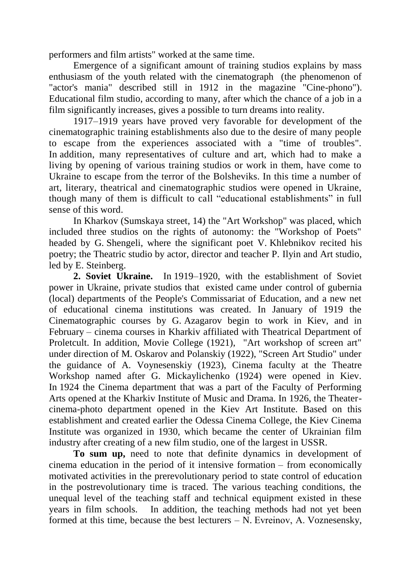performers and film artists" worked at the same time.

Emergence of a significant amount of training studios explains by mass enthusiasm of the youth related with the cinematograph (the phenomenon of "actor's mania" described still in 1912 in the magazine "Cine-phono"). Educational film studio, according to many, after which the chance of a job in a film significantly increases, gives a possible to turn dreams into reality.

1917–1919 years have proved very favorable for development of the cinematographic training establishments also due to the desire of many people to escape from the experiences associated with a "time of troubles". In addition, many representatives of culture and art, which had to make a living by opening of various training studios or work in them, have come to Ukraine to escape from the terror of the Bolsheviks. In this time a number of art, literary, theatrical and cinematographic studios were opened in Ukraine, though many of them is difficult to call "educational establishments" in full sense of this word.

In Kharkov (Sumskaya street, 14) the "Art Workshop" was placed, which included three studios on the rights of autonomy: the "Workshop of Poets" headed by G. Shengeli, where the significant poet V. Khlebnikov recited his poetry; the Theatric studio by actor, director and teacher P. Ilyin and Art studio, led by E. Steinberg.

**2. Soviet Ukraine.** In 1919–1920, with the establishment of Soviet power in Ukraine, private studios that existed came under control of gubernia (local) departments of the People's Commissariat of Education, and a new net of educational cinema institutions was created. In January of 1919 the Cinematographic courses by G. Azagarov begin to work in Kiev, and in February – cinema courses in Kharkiv affiliated with Theatrical Department of Proletcult. In addition, Movie College (1921), "Art workshop of screen art" under direction of M. Oskarov and Polanskiy (1922), "Screen Art Studio" under the guidance of A. Voynesenskiy (1923), Cinema faculty at the Theatre Workshop named after G. Mickaylichenko (1924) were opened in Kiev. In 1924 the Cinema department that was a part of the Faculty of Performing Arts opened at the Kharkiv Institute of Music and Drama. In 1926, the Theatercinema-photo department opened in the Kiev Art Institute. Based on this establishment and created earlier the Odessa Cinema College, the Kiev Cinema Institute was organized in 1930, which became the center of Ukrainian film industry after creating of a new film studio, one of the largest in USSR.

**To sum up,** need to note that definite dynamics in development of cinema education in the period of it intensive formation – from economically motivated activities in the prerevolutionary period to state control of education in the postrevolutionary time is traced. The various teaching conditions, the unequal level of the teaching staff and technical equipment existed in these years in film schools. In addition, the teaching methods had not yet been formed at this time, because the best lecturers – N. Evreinov, А. Voznesensky,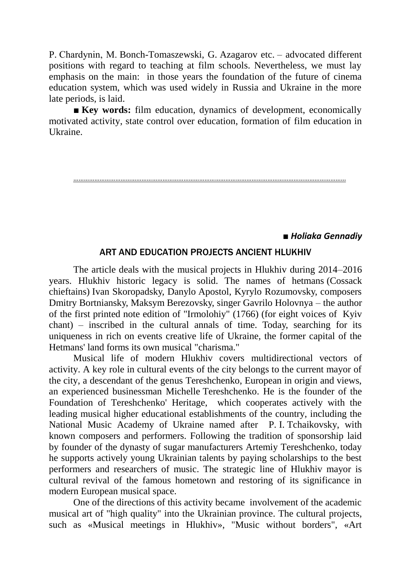P. Chardynin, М. Bonch-Tomaszewski, G. Azagarov etc. – advocated different positions with regard to teaching at film schools. Nevertheless, we must lay emphasis on the main: in those years the foundation of the future of cinema education system, which was used widely in Russia and Ukraine in the more late periods, is laid.

■ **Key words:** film education, dynamics of development, economically motivated activity, state control over education, formation of film education in Ukraine.

…………………………………………………………………………………………………………………………………………

*■ Holiaka Gеnnadiy*

#### ART AND EDUCATION PROJECTS ANCIENT HLUKHIV

The article deals with the musical projects in Hlukhiv during 2014–2016 years. Hlukhiv historic legacy is solid. The names of hetmans (Cossack chieftains) Ivan Skoropadsky, Danylo Apostol, Kyrylo Rozumovsky, composers Dmitry Bortniansky, Maksym Berezovsky, singer Gavrilo Holovnya – the author of the first printed note edition of "Irmolohiy" (1766) (for eight voices of Kyiv chant) – inscribed in the cultural annals of time. Today, searching for its uniqueness in rich on events creative life of Ukraine, the former capital of the Hetmans' land forms its own musical "charisma."

Musical life of modern Hlukhiv covers multidirectional vectors of activity. A key role in cultural events of the city belongs to the current mayor of the city, a descendant of the genus Tereshchenko, European in origin and views, an experienced businessman Michelle Tereshchenko. He is the founder of the Foundation of Tereshchenko' Heritage, which cooperates actively with the leading musical higher educational establishments of the country, including the National Music Academy of Ukraine named after P. I. Tchaikovsky, with known composers and performers. Following the tradition of sponsorship laid by founder of the dynasty of sugar manufacturers Artemiy Tereshchenko, today he supports actively young Ukrainian talents by paying scholarships to the best performers and researchers of music. The strategic line of Hlukhiv mayor is cultural revival of the famous hometown and restoring of its significance in modern European musical space.

One of the directions of this activity became involvement of the academic musical art of "high quality" into the Ukrainian province. The cultural projects, such as «Musical meetings in Hlukhiv», "Music without borders", «Art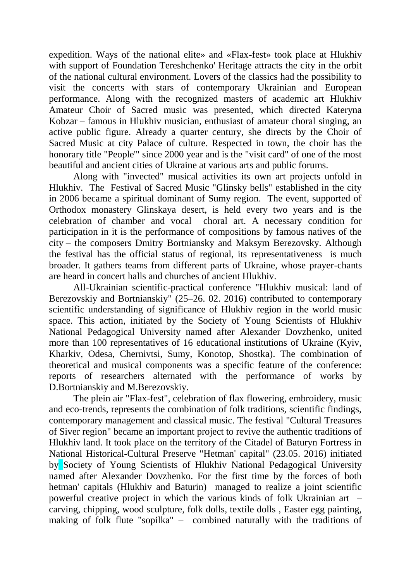expedition. Ways of the national elite» and «Flax-fest» took place at Hlukhiv with support of Foundation Tereshchenko' Heritage attracts the city in the orbit of the national cultural environment. Lovers of the classics had the possibility to visit the concerts with stars of contemporary Ukrainian and European performance. Along with the recognized masters of academic art Hlukhiv Amateur Choir of Sacred music was presented, which directed Kateryna Kobzar – famous in Hlukhiv musician, enthusiast of amateur choral singing, an active public figure. Already a quarter century, she directs by the Choir of Sacred Music at city Palace of culture. Respected in town, the choir has the honorary title "People'" since 2000 year and is the "visit card" of one of the most beautiful and ancient cities of Ukraine at various arts and public forums.

Along with "invected" musical activities its own art projects unfold in Hlukhiv. The Festival of Sacred Music "Glinsky bells" established in the city in 2006 became a spiritual dominant of Sumy region. The event, supported of Orthodox monastery Glinskaya desert, is held every two years and is the celebration of chamber and vocal choral art. A necessary condition for participation in it is the performance of compositions by famous natives of the city – the composers Dmitry Bortniansky and Maksym Berezovsky. Although the festival has the official status of regional, its representativeness is much broader. It gathers teams from different parts of Ukraine, whose prayer-chants are heard in concert halls and churches of ancient Hlukhiv.

All-Ukrainian scientific-practical conference "Hlukhiv musical: land of Berezovskiy and Bortnianskiy" (25–26. 02. 2016) contributed to contemporary scientific understanding of significance of Hlukhiv region in the world music space. This action, initiated by the Society of Young Scientists of Hlukhiv National Pedagogical University named after Alexander Dovzhenko, united more than 100 representatives of 16 educational institutions of Ukraine (Kyiv, Kharkiv, Odesa, Chernivtsi, Sumy, Konotop, Shostka). The combination of theoretical and musical components was a specific feature of the conference: reports of researchers alternated with the performance of works by D.Bortnianskiy and M.Berezovskiy.

The plein air "Flax-fest", celebration of flax flowering, embroidery, music and eco-trends, represents the combination of folk traditions, scientific findings, contemporary management and classical music. The festival "Cultural Treasures of Siver region" became an important project to revive the authentic traditions of Hlukhiv land. It took place on the territory of the Citadel of Baturyn Fortress in National Historical-Cultural Preserve "Hetman' capital" (23.05. 2016) initiated by Society of Young Scientists of Hlukhiv National Pedagogical University named after Alexander Dovzhenko. For the first time by the forces of both hetman' capitals (Hlukhiv and Baturin) managed to realize a joint scientific powerful creative project in which the various kinds of folk Ukrainian art – carving, chipping, wood sculpture, folk dolls, textile dolls , Easter egg painting, making of folk flute "sopilka" – combined naturally with the traditions of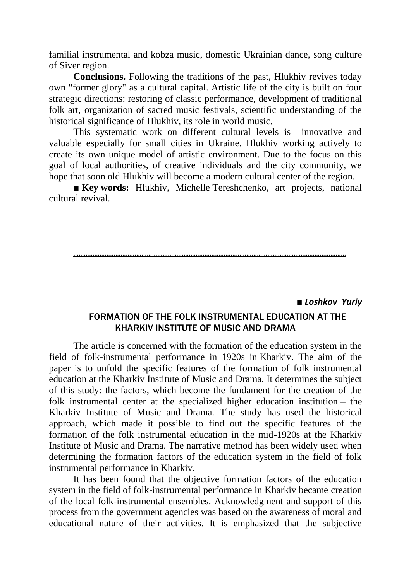familial instrumental and kobza music, domestic Ukrainian dance, song culture of Siver region.

**Conclusions.** Following the traditions of the past, Hlukhiv revives today own "former glory" as a cultural capital. Artistic life of the city is built on four strategic directions: restoring of classic performance, development of traditional folk art, organization of sacred music festivals, scientific understanding of the historical significance of Hlukhiv, its role in world music.

This systematic work on different cultural levels is innovative and valuable especially for small cities in Ukraine. Hlukhiv working actively to create its own unique model of artistic environment. Due to the focus on this goal of local authorities, of creative individuals and the city community, we hope that soon old Hlukhiv will become a modern cultural center of the region.

■ **Key words:** Hlukhiv, Michelle Tereshchenko, art projects, national cultural revival.

…………………………………………………………………………………………………………………………………………

■ *Loshkov Yuriy*

### FORMATION OF THE FOLK INSTRUMENTAL EDUCATION AT THE KHARKIV INSTITUTE OF MUSIC AND DRAMA

The article is concerned with the formation of the education system in the field of folk-instrumental performance in 1920s in Kharkiv. The aim of the paper is to unfold the specific features of the formation of folk instrumental education at the Kharkiv Institute of Music and Drama. It determines the subject of this study: the factors, which become the fundament for the creation of the folk instrumental center at the specialized higher education institution – the Kharkiv Institute of Music and Drama. The study has used the historical approach, which made it possible to find out the specific features of the formation of the folk instrumental education in the mid-1920s at the Kharkiv Institute of Music and Drama. The narrative method has been widely used when determining the formation factors of the education system in the field of folk instrumental performance in Kharkiv.

It has been found that the objective formation factors of the education system in the field of folk-instrumental performance in Kharkiv became creation of the local folk-instrumental ensembles. Acknowledgment and support of this process from the government agencies was based on the awareness of moral and educational nature of their activities. It is emphasized that the subjective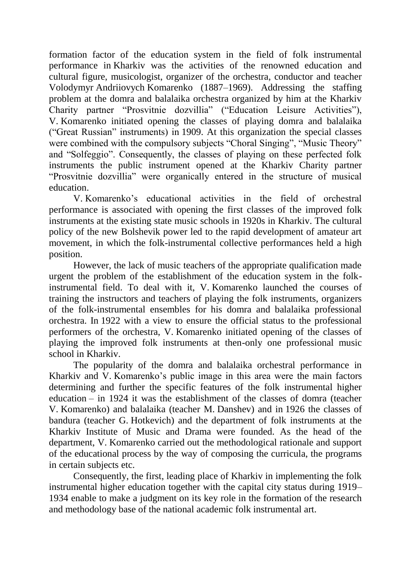formation factor of the education system in the field of folk instrumental performance in Kharkiv was the activities of the renowned education and cultural figure, musicologist, organizer of the orchestra, conductor and teacher Volodymyr Andriiovych Komarenko (1887–1969). Addressing the staffing problem at the domra and balalaika orchestra organized by him at the Kharkiv Charity partner "Prosvitnie dozvillia" ("Education Leisure Activities"), V. Komarenko initiated opening the classes of playing domra and balalaika ("Great Russian" instruments) in 1909. At this organization the special classes were combined with the compulsory subjects "Choral Singing", "Music Theory" and "Solfeggio". Consequently, the classes of playing on these perfected folk instruments the public instrument opened at the Kharkiv Charity partner "Prosvitnie dozvillia" were organically entered in the structure of musical education.

V. Komarenko's educational activities in the field of orchestral performance is associated with opening the first classes of the improved folk instruments at the existing state music schools in 1920s in Kharkiv. The cultural policy of the new Bolshevik power led to the rapid development of amateur art movement, in which the folk-instrumental collective performances held a high position.

However, the lack of music teachers of the appropriate qualification made urgent the problem of the establishment of the education system in the folkinstrumental field. To deal with it, V. Komarenko launched the courses of training the instructors and teachers of playing the folk instruments, organizers of the folk-instrumental ensembles for his domra and balalaika professional orchestra. In 1922 with a view to ensure the official status to the professional performers of the orchestra, V. Komarenko initiated opening of the classes of playing the improved folk instruments at then-only one professional music school in Kharkiv.

The popularity of the domra and balalaika orchestral performance in Kharkiv and V. Komarenko's public image in this area were the main factors determining and further the specific features of the folk instrumental higher education – in 1924 it was the establishment of the classes of domra (teacher V. Komarenko) and balalaika (teacher M. Danshev) and in 1926 the classes of bandura (teacher G. Hotkevich) and the department of folk instruments at the Kharkiv Institute of Music and Drama were founded. As the head of the department, V. Komarenko carried out the methodological rationale and support of the educational process by the way of composing the curricula, the programs in certain subjects etc.

Consequently, the first, leading place of Kharkiv in implementing the folk instrumental higher education together with the capital city status during 1919– 1934 enable to make a judgment on its key role in the formation of the research and methodology base of the national academic folk instrumental art.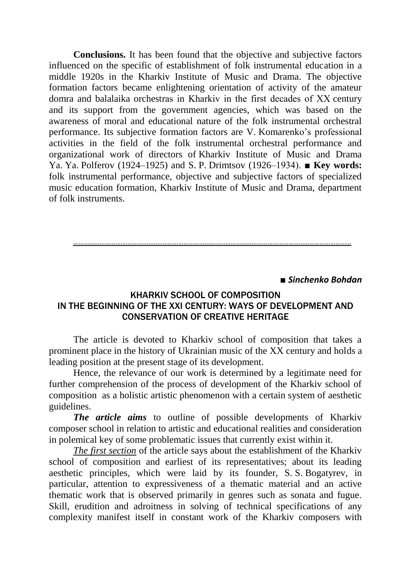**Conclusions.** It has been found that the objective and subjective factors influenced on the specific of establishment of folk instrumental education in a middle 1920s in the Kharkiv Institute of Music and Drama. The objective formation factors became enlightening orientation of activity of the amateur domra and balalaika orchestras in Kharkiv in the first decades of ХХ century and its support from the government agencies, which was based on the awareness of moral and educational nature of the folk instrumental orchestral performance. Its subjective formation factors are V. Komarenko's professional activities in the field of the folk instrumental orchestral performance and organizational work of directors of Kharkiv Institute of Music and Drama Ya. Ya. Polferov (1924–1925) and S. P. Drimtsov (1926–1934). ■ **Key words:** folk instrumental performance, objective and subjective factors of specialized music education formation, Kharkiv Institute of Music and Drama, department of folk instruments.

……………………………………………………………………………………………………………………………………………

■ *Sinchenko Bohdan*

### KHARKIV SCHOOL OF COMPOSITION IN THE BEGINNING OF THE XXI CENTURY: WAYS OF DEVELOPMENT AND CONSERVATION OF CREATIVE HERITAGE

The article is devoted to Kharkiv school of composition that takes a prominent place in the history of Ukrainian music of the XX century and holds a leading position at the present stage of its development.

Hence, the relevance of our work is determined by a legitimate need for further comprehension of the process of development of the Kharkiv school of composition as a holistic artistic phenomenon with a certain system of aesthetic guidelines.

*The article aims* to outline of possible developments of Kharkiv composer school in relation to artistic and educational realities and consideration in polemical key of some problematic issues that currently exist within it.

*The first section* of the article says about the establishment of the Kharkiv school of composition and earliest of its representatives; about its leading aesthetic principles, which were laid by its founder, S. S. Bogatyrev, in particular, attention to expressiveness of a thematic material and an active thematic work that is observed primarily in genres such as sonata and fugue. Skill, erudition and adroitness in solving of technical specifications of any complexity manifest itself in constant work of the Kharkiv composers with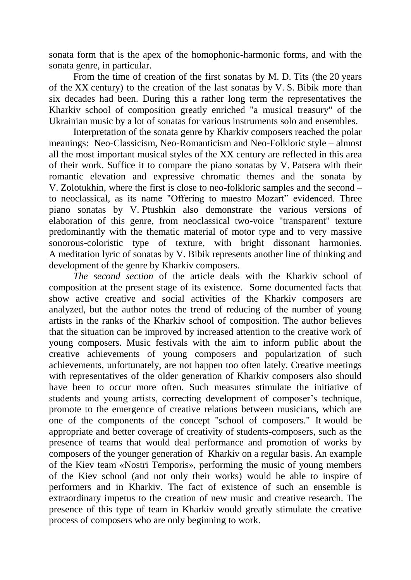sonata form that is the apex of the homophonic-harmonic forms, and with the sonata genre, in particular.

From the time of creation of the first sonatas by M. D. Tits (the 20 years of the XX century) to the creation of the last sonatas by V. S. Bibik more than six decades had been. During this a rather long term the representatives the Kharkiv school of composition greatly enriched "a musical treasury" of the Ukrainian music by a lot of sonatas for various instruments solo and ensembles.

Interpretation of the sonata genre by Kharkiv composers reached the polar meanings: Neo-Classicism, Neo-Romanticism and Neo-Folkloric style – almost all the most important musical styles of the XX century are reflected in this area of their work. Suffice it to compare the piano sonatas by V. Patsera with their romantic elevation and expressive chromatic themes and the sonata by V. Zolotukhin, where the first is close to neo-folkloric samples and the second – to neoclassical, as its name "Offering to maestro Mozart" evidenced. Three piano sonatas by V. Ptushkin also demonstrate the various versions of elaboration of this genre, from neoclassical two-voice "transparent" texture predominantly with the thematic material of motor type and to very massive sonorous-coloristic type of texture, with bright dissonant harmonies. A meditation lyric of sonatas by V. Bibik represents another line of thinking and development of the genre by Kharkiv composers.

*The second section* of the article deals with the Kharkiv school of composition at the present stage of its existence. Some documented facts that show active creative and social activities of the Kharkiv composers are analyzed, but the author notes the trend of reducing of the number of young artists in the ranks of the Kharkiv school of composition. The author believes that the situation can be improved by increased attention to the creative work of young composers. Music festivals with the aim to inform public about the creative achievements of young composers and popularization of such achievements, unfortunately, are not happen too often lately. Creative meetings with representatives of the older generation of Kharkiv composers also should have been to occur more often. Such measures stimulate the initiative of students and young artists, correcting development of composer's technique, promote to the emergence of creative relations between musicians, which are one of the components of the concept "school of composers." It would be appropriate and better coverage of creativity of students-composers, such as the presence of teams that would deal performance and promotion of works by composers of the younger generation of Kharkiv on a regular basis. An example of the Kiev team «Nostri Temporis», performing the music of young members of the Kiev school (and not only their works) would be able to inspire of performers and in Kharkiv. The fact of existence of such an ensemble is extraordinary impetus to the creation of new music and creative research. The presence of this type of team in Kharkiv would greatly stimulate the creative process of composers who are only beginning to work.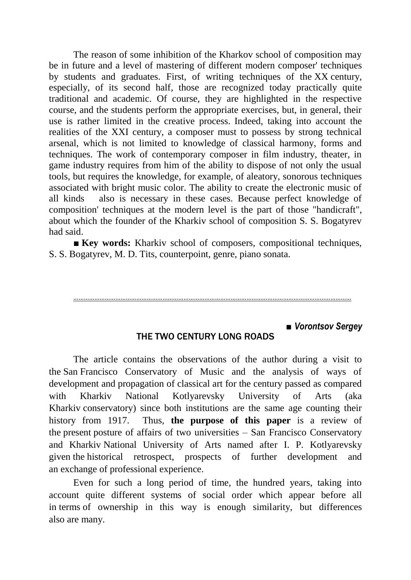The reason of some inhibition of the Kharkov school of composition may be in future and a level of mastering of different modern composer' techniques by students and graduates. First, of writing techniques of the XX century, especially, of its second half, those are recognized today practically quite traditional and academic. Of course, they are highlighted in the respective course, and the students perform the appropriate exercises, but, in general, their use is rather limited in the creative process. Indeed, taking into account the realities of the XXI century, a composer must to possess by strong technical arsenal, which is not limited to knowledge of classical harmony, forms and techniques. The work of contemporary composer in film industry, theater, in game industry requires from him of the ability to dispose of not only the usual tools, but requires the knowledge, for example, of aleatory, sonorous techniques associated with bright music color. The ability to create the electronic music of all kinds also is necessary in these cases. Because perfect knowledge of composition' techniques at the modern level is the part of those "handicraft", about which the founder of the Kharkiv school of composition S. S. Bogatyrev had said.

■ **Key words:** Kharkiv school of composers, compositional techniques, S. S. Bogatyrev, M. D. Tits, counterpoint, genre, piano sonata.



### **■** *Vorontsov Sergey*

### THE TWO CENTURY LONG ROADS

The article contains the observations of the author during a visit to the San Francisco Conservatory of Music and the analysis of ways of development and propagation of classical art for the century passed as compared with Kharkiv National Kotlyarevsky University of Arts (aka Kharkiv conservatory) since both institutions are the same age counting their history from 1917. Thus, **the purpose of this paper** is a review of the present posture of affairs of two universities – San Francisco Conservatory and Kharkiv National University of Arts named after I. P. Kotlyarevsky given the historical retrospect, prospects of further development and an exchange of professional experience.

Even for such a long period of time, the hundred years, taking into account quite different systems of social order which appear before all in terms of ownership in this way is enough similarity, but differences also are many.